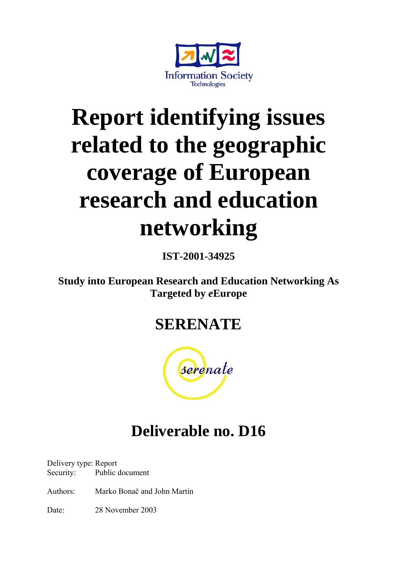

# **Report identifying issues related to the geographic coverage of European research and education networking**

**IST-2001-34925** 

**Study into European Research and Education Networking As Targeted by** *e***Europe**

## **SERENATE**



## **Deliverable no. D16**

Delivery type: Report Security: Public document

Authors: Marko Bonač and John Martin

Date: 28 November 2003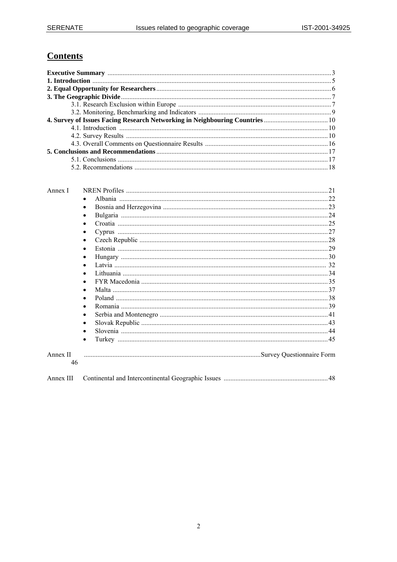## **Contents**

| Annex I        |           |  |
|----------------|-----------|--|
|                | $\bullet$ |  |
|                | $\bullet$ |  |
|                | ٠         |  |
|                | $\bullet$ |  |
|                | ٠         |  |
|                | $\bullet$ |  |
|                | $\bullet$ |  |
|                | $\bullet$ |  |
|                |           |  |
|                |           |  |
|                |           |  |
|                | $\bullet$ |  |
|                | $\bullet$ |  |
|                |           |  |
|                |           |  |
|                | $\bullet$ |  |
|                |           |  |
|                | ٠         |  |
| Annex II<br>46 |           |  |
| Annex III      |           |  |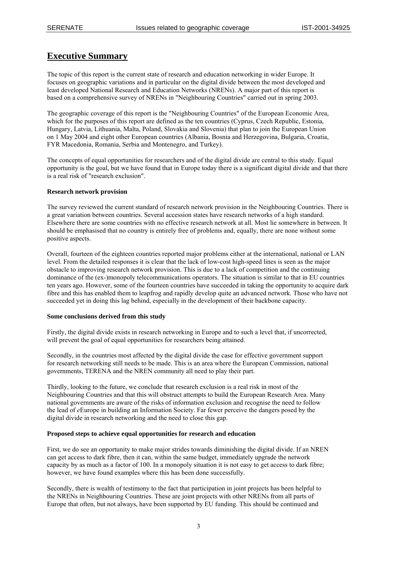## **Executive Summary**

The topic of this report is the current state of research and education networking in wider Europe. It focuses on geographic variations and in particular on the digital divide between the most developed and least developed National Research and Education Networks (NRENs). A major part of this report is based on a comprehensive survey of NRENs in "Neighbouring Countries" carried out in spring 2003.

The geographic coverage of this report is the "Neighbouring Countries" of the European Economic Area, which for the purposes of this report are defined as the ten countries (Cyprus, Czech Republic, Estonia, Hungary, Latvia, Lithuania, Malta, Poland, Slovakia and Slovenia) that plan to join the European Union on 1 May 2004 and eight other European countries (Albania, Bosnia and Herzegovina, Bulgaria, Croatia, FYR Macedonia, Romania, Serbia and Montenegro, and Turkey).

The concepts of equal opportunities for researchers and of the digital divide are central to this study. Equal opportunity is the goal, but we have found that in Europe today there is a significant digital divide and that there is a real risk of "research exclusion".

#### **Research network provision**

The survey reviewed the current standard of research network provision in the Neighbouring Countries. There is a great variation between countries. Several accession states have research networks of a high standard. Elsewhere there are some countries with no effective research network at all. Most lie somewhere in between. It should be emphasised that no country is entirely free of problems and, equally, there are none without some positive aspects.

Overall, fourteen of the eighteen countries reported major problems either at the international, national or LAN level. From the detailed responses it is clear that the lack of low-cost high-speed lines is seen as the major obstacle to improving research network provision. This is due to a lack of competition and the continuing dominance of the (ex-)monopoly telecommunications operators. The situation is similar to that in EU countries ten years ago. However, some of the fourteen countries have succeeded in taking the opportunity to acquire dark fibre and this has enabled them to leapfrog and rapidly develop quite an advanced network. Those who have not succeeded yet in doing this lag behind, especially in the development of their backbone capacity.

#### **Some conclusions derived from this study**

Firstly, the digital divide exists in research networking in Europe and to such a level that, if uncorrected, will prevent the goal of equal opportunities for researchers being attained.

Secondly, in the countries most affected by the digital divide the case for effective government support for research networking still needs to be made. This is an area where the European Commission, national governments, TERENA and the NREN community all need to play their part.

Thirdly, looking to the future, we conclude that research exclusion is a real risk in most of the Neighbouring Countries and that this will obstruct attempts to build the European Research Area. Many national governments are aware of the risks of information exclusion and recognise the need to follow the lead of *e*Europe in building an Information Society. Far fewer perceive the dangers posed by the digital divide in research networking and the need to close this gap.

#### **Proposed steps to achieve equal opportunities for research and education**

First, we do see an opportunity to make major strides towards diminishing the digital divide. If an NREN can get access to dark fibre, then it can, within the same budget, immediately upgrade the network capacity by as much as a factor of 100. In a monopoly situation it is not easy to get access to dark fibre; however, we have found examples where this has been done successfully.

Secondly, there is wealth of testimony to the fact that participation in joint projects has been helpful to the NRENs in Neighbouring Countries. These are joint projects with other NRENs from all parts of Europe that often, but not always, have been supported by EU funding. This should be continued and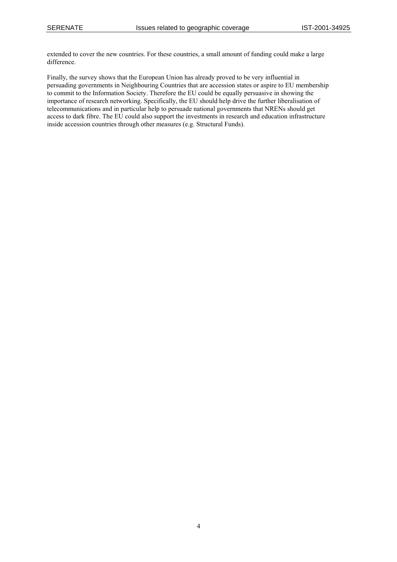extended to cover the new countries. For these countries, a small amount of funding could make a large difference.

Finally, the survey shows that the European Union has already proved to be very influential in persuading governments in Neighbouring Countries that are accession states or aspire to EU membership to commit to the Information Society. Therefore the EU could be equally persuasive in showing the importance of research networking. Specifically, the EU should help drive the further liberalisation of telecommunications and in particular help to persuade national governments that NRENs should get access to dark fibre. The EU could also support the investments in research and education infrastructure inside accession countries through other measures (e.g. Structural Funds).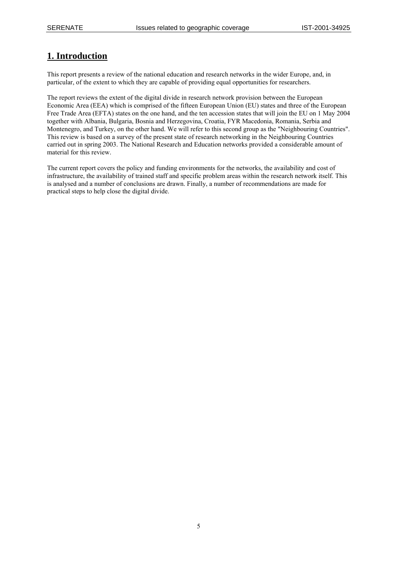## **1. Introduction**

This report presents a review of the national education and research networks in the wider Europe, and, in particular, of the extent to which they are capable of providing equal opportunities for researchers.

The report reviews the extent of the digital divide in research network provision between the European Economic Area (EEA) which is comprised of the fifteen European Union (EU) states and three of the European Free Trade Area (EFTA) states on the one hand, and the ten accession states that will join the EU on 1 May 2004 together with Albania, Bulgaria, Bosnia and Herzegovina, Croatia, FYR Macedonia, Romania, Serbia and Montenegro, and Turkey, on the other hand. We will refer to this second group as the "Neighbouring Countries". This review is based on a survey of the present state of research networking in the Neighbouring Countries carried out in spring 2003. The National Research and Education networks provided a considerable amount of material for this review.

The current report covers the policy and funding environments for the networks, the availability and cost of infrastructure, the availability of trained staff and specific problem areas within the research network itself. This is analysed and a number of conclusions are drawn. Finally, a number of recommendations are made for practical steps to help close the digital divide.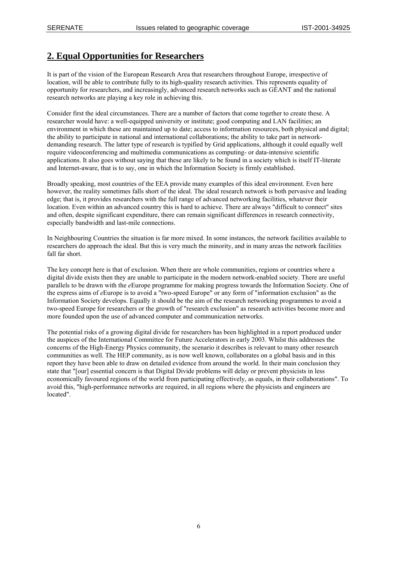## **2. Equal Opportunities for Researchers**

It is part of the vision of the European Research Area that researchers throughout Europe, irrespective of location, will be able to contribute fully to its high-quality research activities. This represents equality of opportunity for researchers, and increasingly, advanced research networks such as GÉANT and the national research networks are playing a key role in achieving this.

Consider first the ideal circumstances. There are a number of factors that come together to create these. A researcher would have: a well-equipped university or institute; good computing and LAN facilities; an environment in which these are maintained up to date; access to information resources, both physical and digital; the ability to participate in national and international collaborations; the ability to take part in networkdemanding research. The latter type of research is typified by Grid applications, although it could equally well require videoconferencing and multimedia communications as computing- or data-intensive scientific applications. It also goes without saying that these are likely to be found in a society which is itself IT-literate and Internet-aware, that is to say, one in which the Information Society is firmly established.

Broadly speaking, most countries of the EEA provide many examples of this ideal environment. Even here however, the reality sometimes falls short of the ideal. The ideal research network is both pervasive and leading edge; that is, it provides researchers with the full range of advanced networking facilities, whatever their location. Even within an advanced country this is hard to achieve. There are always "difficult to connect" sites and often, despite significant expenditure, there can remain significant differences in research connectivity, especially bandwidth and last-mile connections.

In Neighbouring Countries the situation is far more mixed. In some instances, the network facilities available to researchers do approach the ideal. But this is very much the minority, and in many areas the network facilities fall far short.

The key concept here is that of exclusion. When there are whole communities, regions or countries where a digital divide exists then they are unable to participate in the modern network-enabled society. There are useful parallels to be drawn with the *e*Europe programme for making progress towards the Information Society. One of the express aims of *e*Europe is to avoid a "two-speed Europe" or any form of "information exclusion" as the Information Society develops. Equally it should be the aim of the research networking programmes to avoid a two-speed Europe for researchers or the growth of "research exclusion" as research activities become more and more founded upon the use of advanced computer and communication networks.

The potential risks of a growing digital divide for researchers has been highlighted in a report produced under the auspices of the International Committee for Future Accelerators in early 2003. Whilst this addresses the concerns of the High-Energy Physics community, the scenario it describes is relevant to many other research communities as well. The HEP community, as is now well known, collaborates on a global basis and in this report they have been able to draw on detailed evidence from around the world. In their main conclusion they state that "[our] essential concern is that Digital Divide problems will delay or prevent physicists in less economically favoured regions of the world from participating effectively, as equals, in their collaborations". To avoid this, "high-performance networks are required, in all regions where the physicists and engineers are located".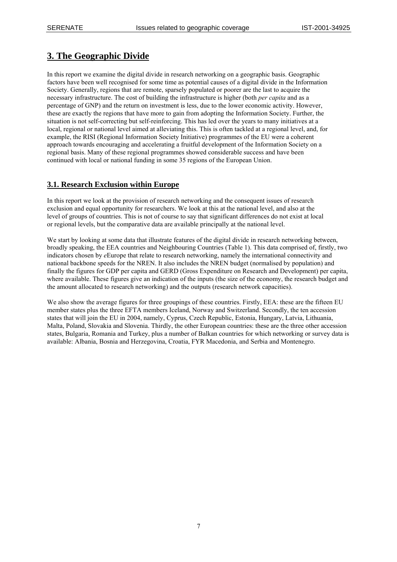## **3. The Geographic Divide**

In this report we examine the digital divide in research networking on a geographic basis. Geographic factors have been well recognised for some time as potential causes of a digital divide in the Information Society. Generally, regions that are remote, sparsely populated or poorer are the last to acquire the necessary infrastructure. The cost of building the infrastructure is higher (both *per capita* and as a percentage of GNP) and the return on investment is less, due to the lower economic activity. However, these are exactly the regions that have more to gain from adopting the Information Society. Further, the situation is not self-correcting but self-reinforcing. This has led over the years to many initiatives at a local, regional or national level aimed at alleviating this. This is often tackled at a regional level, and, for example, the RISI (Regional Information Society Initiative) programmes of the EU were a coherent approach towards encouraging and accelerating a fruitful development of the Information Society on a regional basis. Many of these regional programmes showed considerable success and have been continued with local or national funding in some 35 regions of the European Union.

## **3.1. Research Exclusion within Europe**

In this report we look at the provision of research networking and the consequent issues of research exclusion and equal opportunity for researchers. We look at this at the national level, and also at the level of groups of countries. This is not of course to say that significant differences do not exist at local or regional levels, but the comparative data are available principally at the national level.

We start by looking at some data that illustrate features of the digital divide in research networking between, broadly speaking, the EEA countries and Neighbouring Countries (Table 1). This data comprised of, firstly, two indicators chosen by *e*Europe that relate to research networking, namely the international connectivity and national backbone speeds for the NREN. It also includes the NREN budget (normalised by population) and finally the figures for GDP per capita and GERD (Gross Expenditure on Research and Development) per capita, where available. These figures give an indication of the inputs (the size of the economy, the research budget and the amount allocated to research networking) and the outputs (research network capacities).

We also show the average figures for three groupings of these countries. Firstly, EEA: these are the fifteen EU member states plus the three EFTA members Iceland, Norway and Switzerland. Secondly, the ten accession states that will join the EU in 2004, namely, Cyprus, Czech Republic, Estonia, Hungary, Latvia, Lithuania, Malta, Poland, Slovakia and Slovenia. Thirdly, the other European countries: these are the three other accession states, Bulgaria, Romania and Turkey, plus a number of Balkan countries for which networking or survey data is available: Albania, Bosnia and Herzegovina, Croatia, FYR Macedonia, and Serbia and Montenegro.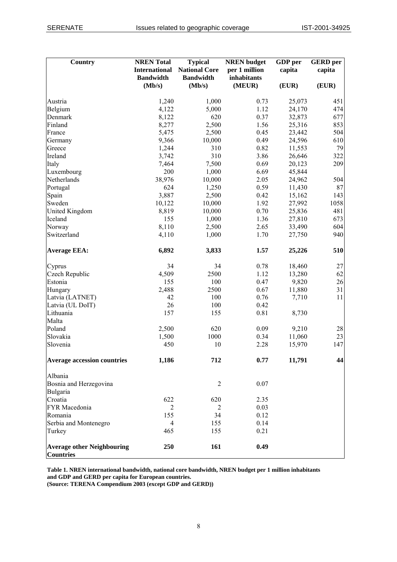| <b>Country</b>                                        | <b>NREN</b> Total<br><b>International</b><br><b>Bandwidth</b> | <b>Typical</b><br><b>National Core</b><br><b>Bandwidth</b> | <b>NREN</b> budget<br>per 1 million<br>inhabitants | GDP per<br>capita | <b>GERD</b> per<br>capita |
|-------------------------------------------------------|---------------------------------------------------------------|------------------------------------------------------------|----------------------------------------------------|-------------------|---------------------------|
|                                                       | (Mb/s)                                                        | (Mb/s)                                                     | (MEUR)                                             | (EUR)             | (EUR)                     |
| Austria                                               | 1,240                                                         | 1,000                                                      | 0.73                                               | 25,073            | 451                       |
| Belgium                                               | 4,122                                                         | 5,000                                                      | 1.12                                               | 24,170            | 474                       |
| Denmark                                               | 8,122                                                         | 620                                                        | 0.37                                               | 32,873            | 677                       |
| Finland                                               | 8,277                                                         | 2,500                                                      | 1.56                                               | 25,316            | 853                       |
| France                                                | 5,475                                                         | 2,500                                                      | 0.45                                               | 23,442            | 504                       |
| Germany                                               | 9,366                                                         | 10,000                                                     | 0.49                                               | 24,596            | 610                       |
| Greece                                                | 1,244                                                         | 310                                                        | 0.82                                               | 11,553            | 79                        |
| Ireland                                               | 3,742                                                         | 310                                                        | 3.86                                               | 26,646            | 322                       |
| Italy                                                 | 7,464                                                         | 7,500                                                      | 0.69                                               | 20,123            | 209                       |
| Luxembourg                                            | 200                                                           | 1,000                                                      | 6.69                                               | 45,844            |                           |
| Netherlands                                           | 38,976                                                        | 10,000                                                     | 2.05                                               | 24,962            | 504                       |
| Portugal                                              | 624                                                           | 1,250                                                      | 0.59                                               | 11,430            | 87                        |
| Spain                                                 | 3,887                                                         | 2,500                                                      | 0.42                                               | 15,162            | 143                       |
| Sweden                                                | 10,122                                                        | 10,000                                                     | 1.92                                               | 27,992            | 1058                      |
| United Kingdom                                        | 8,819                                                         | 10,000                                                     | 0.70                                               | 25,836            | 481                       |
| Iceland                                               | 155                                                           | 1,000                                                      | 1.36                                               | 27,810            | 673                       |
| Norway                                                | 8,110                                                         | 2,500                                                      | 2.65                                               | 33,490            | 604                       |
| Switzerland                                           | 4,110                                                         | 1,000                                                      | 1.70                                               | 27,750            | 940                       |
| <b>Average EEA:</b>                                   | 6,892                                                         | 3,833                                                      | 1.57                                               | 25,226            | 510                       |
| Cyprus                                                | 34                                                            | 34                                                         | 0.78                                               | 18,460            | 27                        |
| Czech Republic                                        | 4,509                                                         | 2500                                                       | 1.12                                               | 13,280            | 62                        |
| Estonia                                               | 155                                                           | 100                                                        | 0.47                                               | 9,820             | 26                        |
| Hungary                                               | 2,488                                                         | 2500                                                       | 0.67                                               | 11,880            | 31                        |
| Latvia (LATNET)                                       | 42                                                            | 100                                                        | 0.76                                               | 7,710             | 11                        |
| Latvia (UL DoIT)                                      | 26                                                            | 100                                                        | 0.42                                               |                   |                           |
| Lithuania<br>Malta                                    | 157                                                           | 155                                                        | 0.81                                               | 8,730             |                           |
| Poland                                                | 2,500                                                         | 620                                                        | 0.09                                               | 9,210             | 28                        |
| Slovakia                                              | 1,500                                                         | 1000                                                       | 0.34                                               | 11,060            | 23                        |
| Slovenia                                              | 450                                                           | 10                                                         | 2.28                                               | 15,970            | 147                       |
| <b>Average accession countries</b>                    | 1,186                                                         | 712                                                        | 0.77                                               | 11,791            | 44                        |
| Albania                                               |                                                               |                                                            |                                                    |                   |                           |
| Bosnia and Herzegovina                                |                                                               | 2                                                          | 0.07                                               |                   |                           |
| Bulgaria                                              |                                                               |                                                            |                                                    |                   |                           |
| Croatia                                               | 622                                                           | 620                                                        | 2.35                                               |                   |                           |
| FYR Macedonia                                         | 2                                                             | $\overline{2}$                                             | 0.03                                               |                   |                           |
| Romania                                               | 155                                                           | 34                                                         | 0.12                                               |                   |                           |
| Serbia and Montenegro                                 | $\overline{4}$                                                | 155                                                        | 0.14                                               |                   |                           |
| Turkey                                                | 465                                                           | 155                                                        | 0.21                                               |                   |                           |
| <b>Average other Neighbouring</b><br><b>Countries</b> | 250                                                           | 161                                                        | 0.49                                               |                   |                           |

**Table 1. NREN international bandwidth, national core bandwidth, NREN budget per 1 million inhabitants and GDP and GERD per capita for European countries.** 

**(Source: TERENA Compendium 2003 (except GDP and GERD))**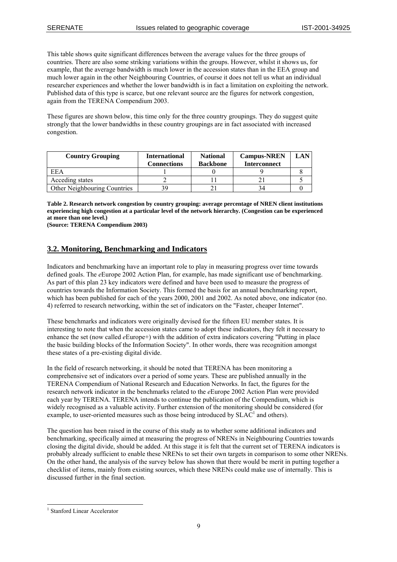This table shows quite significant differences between the average values for the three groups of countries. There are also some striking variations within the groups. However, whilst it shows us, for example, that the average bandwidth is much lower in the accession states than in the EEA group and much lower again in the other Neighbouring Countries, of course it does not tell us what an individual researcher experiences and whether the lower bandwidth is in fact a limitation on exploiting the network. Published data of this type is scarce, but one relevant source are the figures for network congestion, again from the TERENA Compendium 2003.

These figures are shown below, this time only for the three country groupings. They do suggest quite strongly that the lower bandwidths in these country groupings are in fact associated with increased congestion.

| <b>Country Grouping</b>      | <b>International</b><br><b>Connections</b> | <b>National</b><br><b>Backbone</b> | <b>Campus-NREN</b><br><b>Interconnect</b> | LAN |
|------------------------------|--------------------------------------------|------------------------------------|-------------------------------------------|-----|
| EEA                          |                                            |                                    |                                           |     |
| Acceding states              |                                            |                                    |                                           |     |
| Other Neighbouring Countries |                                            |                                    |                                           |     |

**Table 2. Research network congestion by country grouping: average percentage of NREN client institutions experiencing high congestion at a particular level of the network hierarchy. (Congestion can be experienced at more than one level.)** 

**(Source: TERENA Compendium 2003)** 

## **3.2. Monitoring, Benchmarking and Indicators**

Indicators and benchmarking have an important role to play in measuring progress over time towards defined goals. The *e*Europe 2002 Action Plan, for example, has made significant use of benchmarking. As part of this plan 23 key indicators were defined and have been used to measure the progress of countries towards the Information Society. This formed the basis for an annual benchmarking report, which has been published for each of the years 2000, 2001 and 2002. As noted above, one indicator (no. 4) referred to research networking, within the set of indicators on the "Faster, cheaper Internet".

These benchmarks and indicators were originally devised for the fifteen EU member states. It is interesting to note that when the accession states came to adopt these indicators, they felt it necessary to enhance the set (now called *e*Europe+) with the addition of extra indicators covering "Putting in place the basic building blocks of the Information Society". In other words, there was recognition amongst these states of a pre-existing digital divide.

In the field of research networking, it should be noted that TERENA has been monitoring a comprehensive set of indicators over a period of some years. These are published annually in the TERENA Compendium of National Research and Education Networks. In fact, the figures for the research network indicator in the benchmarks related to the *e*Europe 2002 Action Plan were provided each year by TERENA. TERENA intends to continue the publication of the Compendium, which is widely recognised as a valuable activity. Further extension of the monitoring should be considered (for example, to user-oriented measures such as those being introduced by  $SLAC<sup>1</sup>$  and others).

The question has been raised in the course of this study as to whether some additional indicators and benchmarking, specifically aimed at measuring the progress of NRENs in Neighbouring Countries towards closing the digital divide, should be added. At this stage it is felt that the current set of TERENA indicators is probably already sufficient to enable these NRENs to set their own targets in comparison to some other NRENs. On the other hand, the analysis of the survey below has shown that there would be merit in putting together a checklist of items, mainly from existing sources, which these NRENs could make use of internally. This is discussed further in the final section.

 $\overline{a}$ 

<span id="page-8-0"></span><sup>1</sup> Stanford Linear Accelerator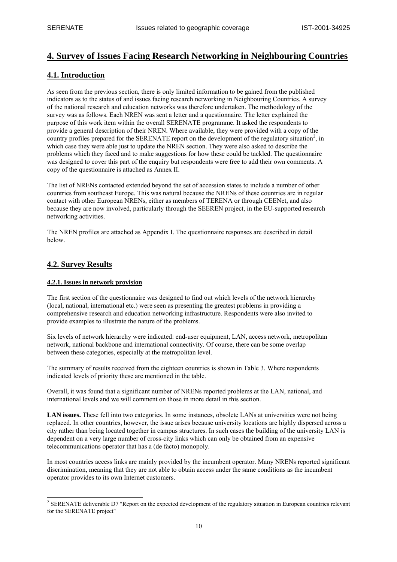## **4. Survey of Issues Facing Research Networking in Neighbouring Countries**

## **4.1. Introduction**

As seen from the previous section, there is only limited information to be gained from the published indicators as to the status of and issues facing research networking in Neighbouring Countries. A survey of the national research and education networks was therefore undertaken. The methodology of the survey was as follows. Each NREN was sent a letter and a questionnaire. The letter explained the purpose of this work item within the overall SERENATE programme. It asked the respondents to provide a general description of their NREN. Where available, they were provided with a copy of the country profiles prepared for the SERENATE report on the development of the regulatory situation<sup>2</sup>[,](#page-9-0) in which case they were able just to update the NREN section. They were also asked to describe the problems which they faced and to make suggestions for how these could be tackled. The questionnaire was designed to cover this part of the enquiry but respondents were free to add their own comments. A copy of the questionnaire is attached as Annex II.

The list of NRENs contacted extended beyond the set of accession states to include a number of other countries from southeast Europe. This was natural because the NRENs of these countries are in regular contact with other European NRENs, either as members of TERENA or through CEENet, and also because they are now involved, particularly through the SEEREN project, in the EU-supported research networking activities.

The NREN profiles are attached as Appendix I. The questionnaire responses are described in detail below.

## **4.2. Survey Results**

#### **4.2.1. Issues in network provision**

The first section of the questionnaire was designed to find out which levels of the network hierarchy (local, national, international etc.) were seen as presenting the greatest problems in providing a comprehensive research and education networking infrastructure. Respondents were also invited to provide examples to illustrate the nature of the problems.

Six levels of network hierarchy were indicated: end-user equipment, LAN, access network, metropolitan network, national backbone and international connectivity. Of course, there can be some overlap between these categories, especially at the metropolitan level.

The summary of results received from the eighteen countries is shown in Table 3. Where respondents indicated levels of priority these are mentioned in the table.

Overall, it was found that a significant number of NRENs reported problems at the LAN, national, and international levels and we will comment on those in more detail in this section.

**LAN issues.** These fell into two categories. In some instances, obsolete LANs at universities were not being replaced. In other countries, however, the issue arises because university locations are highly dispersed across a city rather than being located together in campus structures. In such cases the building of the university LAN is dependent on a very large number of cross-city links which can only be obtained from an expensive telecommunications operator that has a (de facto) monopoly.

In most countries access links are mainly provided by the incumbent operator. Many NRENs reported significant discrimination, meaning that they are not able to obtain access under the same conditions as the incumbent operator provides to its own Internet customers.

<span id="page-9-0"></span><sup>&</sup>lt;sup>2</sup> SERENATE deliverable D7 "Report on the expected development of the regulatory situation in European countries relevant for the SERENATE project"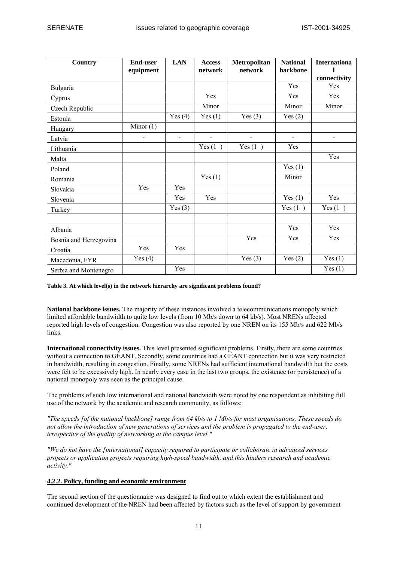| Country                | <b>End-user</b><br>equipment | <b>LAN</b>               | <b>Access</b><br>network | Metropolitan<br>network  | <b>National</b><br>backbone  | <b>Internationa</b><br>connectivity |
|------------------------|------------------------------|--------------------------|--------------------------|--------------------------|------------------------------|-------------------------------------|
| Bulgaria               |                              |                          |                          |                          | Yes                          | Yes                                 |
| Cyprus                 |                              |                          | Yes                      |                          | Yes                          | Yes                                 |
| Czech Republic         |                              |                          | Minor                    |                          | Minor                        | Minor                               |
| Estonia                |                              | Yes $(4)$                | Yes $(1)$                | Yes $(3)$                | Yes $(2)$                    |                                     |
| Hungary                | Minor $(1)$                  |                          |                          |                          |                              |                                     |
| Latvia                 |                              | $\overline{\phantom{0}}$ | $\overline{\phantom{0}}$ | $\overline{\phantom{0}}$ | $\qquad \qquad \blacksquare$ | $\overline{\phantom{a}}$            |
| Lithuania              |                              |                          | Yes $(1=)$               | Yes $(1=)$               | Yes                          |                                     |
| Malta                  |                              |                          |                          |                          |                              | Yes                                 |
| Poland                 |                              |                          |                          |                          | Yes $(1)$                    |                                     |
| Romania                |                              |                          | Yes(1)                   |                          | Minor                        |                                     |
| Slovakia               | Yes                          | Yes                      |                          |                          |                              |                                     |
| Slovenia               |                              | Yes                      | Yes                      |                          | Yes(1)                       | Yes                                 |
| Turkey                 |                              | Yes $(3)$                |                          |                          | Yes $(1=)$                   | Yes $(1=)$                          |
|                        |                              |                          |                          |                          |                              |                                     |
| Albania                |                              |                          |                          |                          | Yes                          | Yes                                 |
| Bosnia and Herzegovina |                              |                          |                          | Yes                      | Yes                          | Yes                                 |
| Croatia                | Yes                          | Yes                      |                          |                          |                              |                                     |
| Macedonia, FYR         | Yes $(4)$                    |                          |                          | Yes $(3)$                | Yes $(2)$                    | Yes(1)                              |
| Serbia and Montenegro  |                              | Yes                      |                          |                          |                              | Yes(1)                              |

#### **Table 3. At which level(s) in the network hierarchy are significant problems found?**

**National backbone issues.** The majority of these instances involved a telecommunications monopoly which limited affordable bandwidth to quite low levels (from 10 Mb/s down to 64 kb/s). Most NRENs affected reported high levels of congestion. Congestion was also reported by one NREN on its 155 Mb/s and 622 Mb/s links.

**International connectivity issues.** This level presented significant problems. Firstly, there are some countries without a connection to GÉANT. Secondly, some countries had a GÉANT connection but it was very restricted in bandwidth, resulting in congestion. Finally, some NRENs had sufficient international bandwidth but the costs were felt to be excessively high. In nearly every case in the last two groups, the existence (or persistence) of a national monopoly was seen as the principal cause.

The problems of such low international and national bandwidth were noted by one respondent as inhibiting full use of the network by the academic and research community, as follows:

*"The speeds [of the national backbone] range from 64 kb/s to 1 Mb/s for most organisations. These speeds do not allow the introduction of new generations of services and the problem is propagated to the end-user, irrespective of the quality of networking at the campus level."* 

*"We do not have the [international] capacity required to participate or collaborate in advanced services projects or application projects requiring high-speed bandwidth, and this hinders research and academic activity."* 

#### **4.2.2. Policy, funding and economic environment**

The second section of the questionnaire was designed to find out to which extent the establishment and continued development of the NREN had been affected by factors such as the level of support by government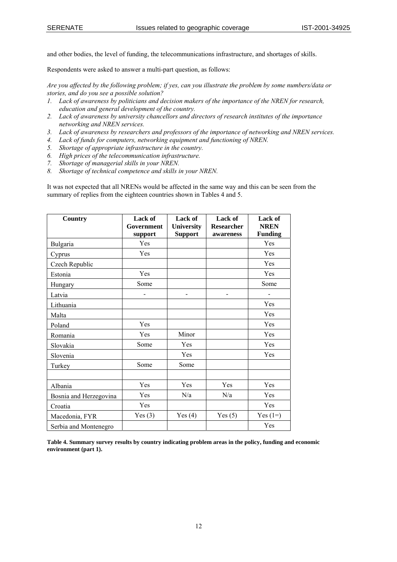and other bodies, the level of funding, the telecommunications infrastructure, and shortages of skills.

Respondents were asked to answer a multi-part question, as follows:

*Are you affected by the following problem; if yes, can you illustrate the problem by some numbers/data or stories, and do you see a possible solution?* 

- *1. Lack of awareness by politicians and decision makers of the importance of the NREN for research, education and general development of the country.*
- *2. Lack of awareness by university chancellors and directors of research institutes of the importance networking and NREN services.*
- *3. Lack of awareness by researchers and professors of the importance of networking and NREN services.*
- *4. Lack of funds for computers, networking equipment and functioning of NREN.*
- *5. Shortage of appropriate infrastructure in the country.*
- *6. High prices of the telecommunication infrastructure.*
- *7. Shortage of managerial skills in your NREN.*
- *8. Shortage of technical competence and skills in your NREN.*

It was not expected that all NRENs would be affected in the same way and this can be seen from the summary of replies from the eighteen countries shown in Tables 4 and 5.

| Country                | <b>Lack of</b>        | <b>Lack of</b>               | <b>Lack of</b>                 | Lack of                       |
|------------------------|-----------------------|------------------------------|--------------------------------|-------------------------------|
|                        | Government<br>support | University<br><b>Support</b> | <b>Researcher</b><br>awareness | <b>NREN</b><br><b>Funding</b> |
| Bulgaria               | Yes                   |                              |                                | Yes                           |
| Cyprus                 | Yes                   |                              |                                | Yes                           |
| Czech Republic         |                       |                              |                                | Yes                           |
| Estonia                | Yes                   |                              |                                | Yes                           |
| Hungary                | Some                  |                              |                                | Some                          |
| Latvia                 |                       |                              | $\overline{a}$                 |                               |
| Lithuania              |                       |                              |                                | Yes                           |
| Malta                  |                       |                              |                                | Yes                           |
| Poland                 | Yes                   |                              |                                | Yes                           |
| Romania                | Yes                   | Minor                        |                                | Yes                           |
| Slovakia               | Some                  | Yes                          |                                | Yes                           |
| Slovenia               |                       | Yes                          |                                | Yes                           |
| Turkey                 | Some                  | Some                         |                                |                               |
|                        |                       |                              |                                |                               |
| Albania                | Yes                   | Yes                          | Yes                            | Yes                           |
| Bosnia and Herzegovina | Yes                   | N/a                          | N/a                            | Yes                           |
| Croatia                | Yes                   |                              |                                | Yes                           |
| Macedonia, FYR         | Yes $(3)$             | Yes $(4)$                    | Yes $(5)$                      | Yes $(1=)$                    |
| Serbia and Montenegro  |                       |                              |                                | Yes                           |

**Table 4. Summary survey results by country indicating problem areas in the policy, funding and economic environment (part 1).**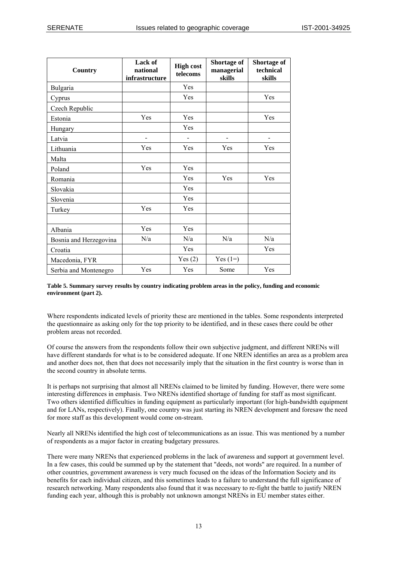| Country                | Lack of<br>national<br>infrastructure | <b>High cost</b><br>telecoms | Shortage of<br>managerial<br>skills | Shortage of<br>technical<br>skills |
|------------------------|---------------------------------------|------------------------------|-------------------------------------|------------------------------------|
| Bulgaria               |                                       | Yes                          |                                     |                                    |
| Cyprus                 |                                       | Yes                          |                                     | Yes                                |
| Czech Republic         |                                       |                              |                                     |                                    |
| Estonia                | Yes                                   | Yes                          |                                     | Yes                                |
| Hungary                |                                       | Yes                          |                                     |                                    |
| Latvia                 | -                                     |                              |                                     |                                    |
| Lithuania              | Yes                                   | Yes                          | Yes                                 | Yes                                |
| Malta                  |                                       |                              |                                     |                                    |
| Poland                 | Yes                                   | Yes                          |                                     |                                    |
| Romania                |                                       | Yes                          | Yes                                 | Yes                                |
| Slovakia               |                                       | Yes                          |                                     |                                    |
| Slovenia               |                                       | Yes                          |                                     |                                    |
| Turkey                 | Yes                                   | Yes                          |                                     |                                    |
|                        |                                       |                              |                                     |                                    |
| Albania                | Yes                                   | Yes                          |                                     |                                    |
| Bosnia and Herzegovina | N/a                                   | N/a                          | N/a                                 | N/a                                |
| Croatia                |                                       | Yes                          |                                     | Yes                                |
| Macedonia, FYR         |                                       | Yes(2)                       | Yes $(1=)$                          |                                    |
| Serbia and Montenegro  | Yes                                   | Yes                          | Some                                | Yes                                |

#### **Table 5. Summary survey results by country indicating problem areas in the policy, funding and economic environment (part 2).**

Where respondents indicated levels of priority these are mentioned in the tables. Some respondents interpreted the questionnaire as asking only for the top priority to be identified, and in these cases there could be other problem areas not recorded.

Of course the answers from the respondents follow their own subjective judgment, and different NRENs will have different standards for what is to be considered adequate. If one NREN identifies an area as a problem area and another does not, then that does not necessarily imply that the situation in the first country is worse than in the second country in absolute terms.

It is perhaps not surprising that almost all NRENs claimed to be limited by funding. However, there were some interesting differences in emphasis. Two NRENs identified shortage of funding for staff as most significant. Two others identified difficulties in funding equipment as particularly important (for high-bandwidth equipment and for LANs, respectively). Finally, one country was just starting its NREN development and foresaw the need for more staff as this development would come on-stream.

Nearly all NRENs identified the high cost of telecommunications as an issue. This was mentioned by a number of respondents as a major factor in creating budgetary pressures.

There were many NRENs that experienced problems in the lack of awareness and support at government level. In a few cases, this could be summed up by the statement that "deeds, not words" are required. In a number of other countries, government awareness is very much focused on the ideas of the Information Society and its benefits for each individual citizen, and this sometimes leads to a failure to understand the full significance of research networking. Many respondents also found that it was necessary to re-fight the battle to justify NREN funding each year, although this is probably not unknown amongst NRENs in EU member states either.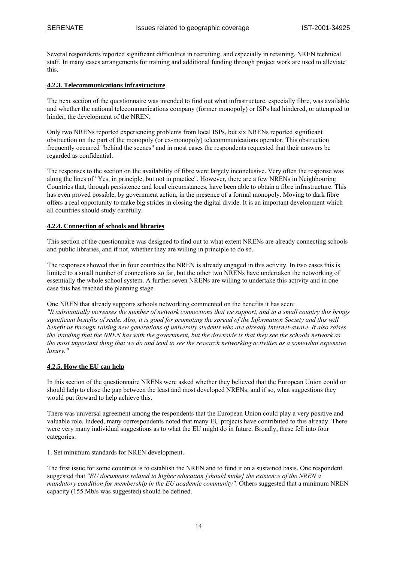Several respondents reported significant difficulties in recruiting, and especially in retaining, NREN technical staff. In many cases arrangements for training and additional funding through project work are used to alleviate this.

#### **4.2.3. Telecommunications infrastructure**

The next section of the questionnaire was intended to find out what infrastructure, especially fibre, was available and whether the national telecommunications company (former monopoly) or ISPs had hindered, or attempted to hinder, the development of the NREN.

Only two NRENs reported experiencing problems from local ISPs, but six NRENs reported significant obstruction on the part of the monopoly (or ex-monopoly) telecommunications operator. This obstruction frequently occurred "behind the scenes" and in most cases the respondents requested that their answers be regarded as confidential.

The responses to the section on the availability of fibre were largely inconclusive. Very often the response was along the lines of "Yes, in principle, but not in practice". However, there are a few NRENs in Neighbouring Countries that, through persistence and local circumstances, have been able to obtain a fibre infrastructure. This has even proved possible, by government action, in the presence of a formal monopoly. Moving to dark fibre offers a real opportunity to make big strides in closing the digital divide. It is an important development which all countries should study carefully.

#### **4.2.4. Connection of schools and libraries**

This section of the questionnaire was designed to find out to what extent NRENs are already connecting schools and public libraries, and if not, whether they are willing in principle to do so.

The responses showed that in four countries the NREN is already engaged in this activity. In two cases this is limited to a small number of connections so far, but the other two NRENs have undertaken the networking of essentially the whole school system. A further seven NRENs are willing to undertake this activity and in one case this has reached the planning stage.

One NREN that already supports schools networking commented on the benefits it has seen: *"It substantially increases the number of network connections that we support, and in a small country this brings significant benefits of scale. Also, it is good for promoting the spread of the Information Society and this will benefit us through raising new generations of university students who are already Internet-aware. It also raises the standing that the NREN has with the government, but the downside is that they see the schools network as the most important thing that we do and tend to see the research networking activities as a somewhat expensive luxury."*

#### **4.2.5. How the EU can help**

In this section of the questionnaire NRENs were asked whether they believed that the European Union could or should help to close the gap between the least and most developed NRENs, and if so, what suggestions they would put forward to help achieve this.

There was universal agreement among the respondents that the European Union could play a very positive and valuable role. Indeed, many correspondents noted that many EU projects have contributed to this already. There were very many individual suggestions as to what the EU might do in future. Broadly, these fell into four categories:

1. Set minimum standards for NREN development.

The first issue for some countries is to establish the NREN and to fund it on a sustained basis. One respondent suggested that *"EU documents related to higher education [should make] the existence of the NREN a mandatory condition for membership in the EU academic community".* Others suggested that a minimum NREN capacity (155 Mb/s was suggested) should be defined.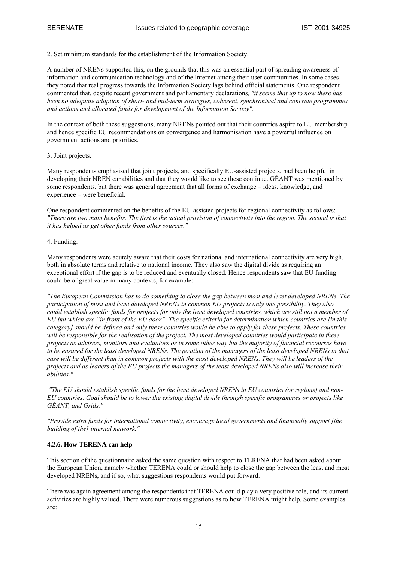2. Set minimum standards for the establishment of the Information Society.

A number of NRENs supported this, on the grounds that this was an essential part of spreading awareness of information and communication technology and of the Internet among their user communities. In some cases they noted that real progress towards the Information Society lags behind official statements. One respondent commented that, despite recent government and parliamentary declarations*, "it seems that up to now there has been no adequate adoption of short- and mid-term strategies, coherent, synchronised and concrete programmes and actions and allocated funds for development of the Information Society".*

In the context of both these suggestions, many NRENs pointed out that their countries aspire to EU membership and hence specific EU recommendations on convergence and harmonisation have a powerful influence on government actions and priorities.

#### 3. Joint projects.

Many respondents emphasised that joint projects, and specifically EU-assisted projects, had been helpful in developing their NREN capabilities and that they would like to see these continue. GÉANT was mentioned by some respondents, but there was general agreement that all forms of exchange – ideas, knowledge, and experience – were beneficial.

One respondent commented on the benefits of the EU-assisted projects for regional connectivity as follows: *"There are two main benefits. The first is the actual provision of connectivity into the region. The second is that it has helped us get other funds from other sources."* 

#### 4. Funding.

Many respondents were acutely aware that their costs for national and international connectivity are very high, both in absolute terms and relative to national income. They also saw the digital divide as requiring an exceptional effort if the gap is to be reduced and eventually closed. Hence respondents saw that EU funding could be of great value in many contexts, for example:

*"The European Commission has to do something to close the gap between most and least developed NRENs. The participation of most and least developed NRENs in common EU projects is only one possibility. They also could establish specific funds for projects for only the least developed countries, which are still not a member of EU but which are "in front of the EU door". The specific criteria for determination which countries are [in this category] should be defined and only these countries would be able to apply for these projects. These countries will be responsible for the realisation of the project. The most developed countries would participate in these projects as advisers, monitors and evaluators or in some other way but the majority of financial recourses have to be ensured for the least developed NRENs. The position of the managers of the least developed NRENs in that case will be different than in common projects with the most developed NRENs. They will be leaders of the projects and as leaders of the EU projects the managers of the least developed NRENs also will increase their abilities."* 

 *"The EU should establish specific funds for the least developed NRENs in EU countries (or regions) and non-EU countries. Goal should be to lower the existing digital divide through specific programmes or projects like GÉANT, and Grids."* 

*"Provide extra funds for international connectivity, encourage local governments and financially support [the building of the] internal network."* 

#### **4.2.6. How TERENA can help**

This section of the questionnaire asked the same question with respect to TERENA that had been asked about the European Union, namely whether TERENA could or should help to close the gap between the least and most developed NRENs, and if so, what suggestions respondents would put forward.

There was again agreement among the respondents that TERENA could play a very positive role, and its current activities are highly valued. There were numerous suggestions as to how TERENA might help. Some examples are: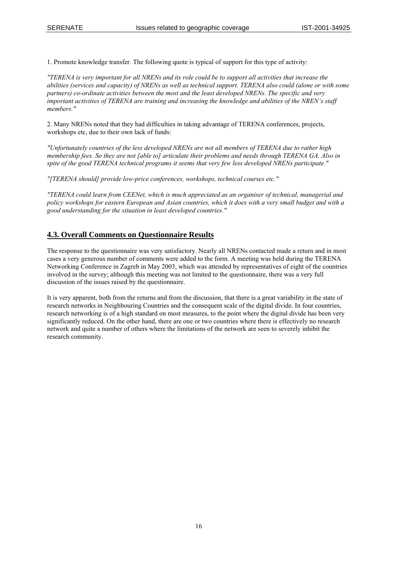1. Promote knowledge transfer. The following quote is typical of support for this type of activity:

*"TERENA is very important for all NRENs and its role could be to support all activities that increase the abilities (services and capacity) of NRENs as well as technical support. TERENA also could (alone or with some partners) co-ordinate activities between the most and the least developed NRENs. The specific and very important activities of TERENA are training and increasing the knowledge and abilities of the NREN's staff members."*

2. Many NRENs noted that they had difficulties in taking advantage of TERENA conferences, projects, workshops etc, due to their own lack of funds:

*"Unfortunately countries of the less developed NRENs are not all members of TERENA due to rather high membership fees. So they are not [able to] articulate their problems and needs through TERENA GA. Also in spite of the good TERENA technical programs it seems that very few less developed NRENs participate."* 

*"[TERENA should] provide low-price conferences, workshops, technical courses etc."* 

*"TERENA could learn from CEENet, which is much appreciated as an organiser of technical, managerial and policy workshops for eastern European and Asian countries, which it does with a very small budget and with a good understanding for the situation in least developed countries."*

#### **4.3. Overall Comments on Questionnaire Results**

The response to the questionnaire was very satisfactory. Nearly all NRENs contacted made a return and in most cases a very generous number of comments were added to the form. A meeting was held during the TERENA Networking Conference in Zagreb in May 2003, which was attended by representatives of eight of the countries involved in the survey; although this meeting was not limited to the questionnaire, there was a very full discussion of the issues raised by the questionnaire.

It is very apparent, both from the returns and from the discussion, that there is a great variability in the state of research networks in Neighbouring Countries and the consequent scale of the digital divide. In four countries, research networking is of a high standard on most measures, to the point where the digital divide has been very significantly reduced. On the other hand, there are one or two countries where there is effectively no research network and quite a number of others where the limitations of the network are seen to severely inhibit the research community.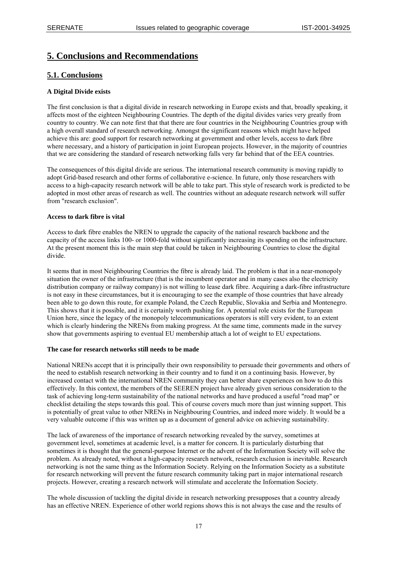## **5. Conclusions and Recommendations**

## **5.1. Conclusions**

#### **A Digital Divide exists**

The first conclusion is that a digital divide in research networking in Europe exists and that, broadly speaking, it affects most of the eighteen Neighbouring Countries. The depth of the digital divides varies very greatly from country to country. We can note first that that there are four countries in the Neighbouring Countries group with a high overall standard of research networking. Amongst the significant reasons which might have helped achieve this are: good support for research networking at government and other levels, access to dark fibre where necessary, and a history of participation in joint European projects. However, in the majority of countries that we are considering the standard of research networking falls very far behind that of the EEA countries.

The consequences of this digital divide are serious. The international research community is moving rapidly to adopt Grid-based research and other forms of collaborative e-science. In future, only those researchers with access to a high-capacity research network will be able to take part. This style of research work is predicted to be adopted in most other areas of research as well. The countries without an adequate research network will suffer from "research exclusion".

#### **Access to dark fibre is vital**

Access to dark fibre enables the NREN to upgrade the capacity of the national research backbone and the capacity of the access links 100- or 1000-fold without significantly increasing its spending on the infrastructure. At the present moment this is the main step that could be taken in Neighbouring Countries to close the digital divide.

It seems that in most Neighbouring Countries the fibre is already laid. The problem is that in a near-monopoly situation the owner of the infrastructure (that is the incumbent operator and in many cases also the electricity distribution company or railway company) is not willing to lease dark fibre. Acquiring a dark-fibre infrastructure is not easy in these circumstances, but it is encouraging to see the example of those countries that have already been able to go down this route, for example Poland, the Czech Republic, Slovakia and Serbia and Montenegro. This shows that it is possible, and it is certainly worth pushing for. A potential role exists for the European Union here, since the legacy of the monopoly telecommunications operators is still very evident, to an extent which is clearly hindering the NRENs from making progress. At the same time, comments made in the survey show that governments aspiring to eventual EU membership attach a lot of weight to EU expectations.

#### **The case for research networks still needs to be made**

National NRENs accept that it is principally their own responsibility to persuade their governments and others of the need to establish research networking in their country and to fund it on a continuing basis. However, by increased contact with the international NREN community they can better share experiences on how to do this effectively. In this context, the members of the SEEREN project have already given serious consideration to the task of achieving long-term sustainability of the national networks and have produced a useful "road map" or checklist detailing the steps towards this goal. This of course covers much more than just winning support. This is potentially of great value to other NRENs in Neighbouring Countries, and indeed more widely. It would be a very valuable outcome if this was written up as a document of general advice on achieving sustainability.

The lack of awareness of the importance of research networking revealed by the survey, sometimes at government level, sometimes at academic level, is a matter for concern. It is particularly disturbing that sometimes it is thought that the general-purpose Internet or the advent of the Information Society will solve the problem. As already noted, without a high-capacity research network, research exclusion is inevitable. Research networking is not the same thing as the Information Society. Relying on the Information Society as a substitute for research networking will prevent the future research community taking part in major international research projects. However, creating a research network will stimulate and accelerate the Information Society.

The whole discussion of tackling the digital divide in research networking presupposes that a country already has an effective NREN. Experience of other world regions shows this is not always the case and the results of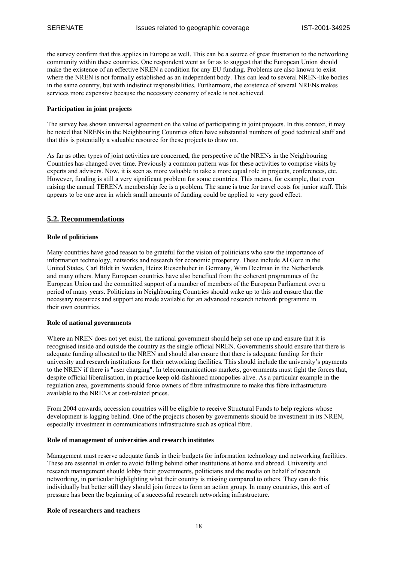the survey confirm that this applies in Europe as well. This can be a source of great frustration to the networking community within these countries. One respondent went as far as to suggest that the European Union should make the existence of an effective NREN a condition for any EU funding. Problems are also known to exist where the NREN is not formally established as an independent body. This can lead to several NREN-like bodies in the same country, but with indistinct responsibilities. Furthermore, the existence of several NRENs makes services more expensive because the necessary economy of scale is not achieved.

#### **Participation in joint projects**

The survey has shown universal agreement on the value of participating in joint projects. In this context, it may be noted that NRENs in the Neighbouring Countries often have substantial numbers of good technical staff and that this is potentially a valuable resource for these projects to draw on.

As far as other types of joint activities are concerned, the perspective of the NRENs in the Neighbouring Countries has changed over time. Previously a common pattern was for these activities to comprise visits by experts and advisers. Now, it is seen as more valuable to take a more equal role in projects, conferences, etc. However, funding is still a very significant problem for some countries. This means, for example, that even raising the annual TERENA membership fee is a problem. The same is true for travel costs for junior staff. This appears to be one area in which small amounts of funding could be applied to very good effect.

## **5.2. Recommendations**

#### **Role of politicians**

Many countries have good reason to be grateful for the vision of politicians who saw the importance of information technology, networks and research for economic prosperity. These include Al Gore in the United States, Carl Bildt in Sweden, Heinz Riesenhuber in Germany, Wim Deetman in the Netherlands and many others. Many European countries have also benefited from the coherent programmes of the European Union and the committed support of a number of members of the European Parliament over a period of many years. Politicians in Neighbouring Countries should wake up to this and ensure that the necessary resources and support are made available for an advanced research network programme in their own countries.

#### **Role of national governments**

Where an NREN does not yet exist, the national government should help set one up and ensure that it is recognised inside and outside the country as the single official NREN. Governments should ensure that there is adequate funding allocated to the NREN and should also ensure that there is adequate funding for their university and research institutions for their networking facilities. This should include the university's payments to the NREN if there is "user charging". In telecommunications markets, governments must fight the forces that, despite official liberalisation, in practice keep old-fashioned monopolies alive. As a particular example in the regulation area, governments should force owners of fibre infrastructure to make this fibre infrastructure available to the NRENs at cost-related prices.

From 2004 onwards, accession countries will be eligible to receive Structural Funds to help regions whose development is lagging behind. One of the projects chosen by governments should be investment in its NREN, especially investment in communications infrastructure such as optical fibre.

#### **Role of management of universities and research institutes**

Management must reserve adequate funds in their budgets for information technology and networking facilities. These are essential in order to avoid falling behind other institutions at home and abroad. University and research management should lobby their governments, politicians and the media on behalf of research networking, in particular highlighting what their country is missing compared to others. They can do this individually but better still they should join forces to form an action group. In many countries, this sort of pressure has been the beginning of a successful research networking infrastructure.

#### **Role of researchers and teachers**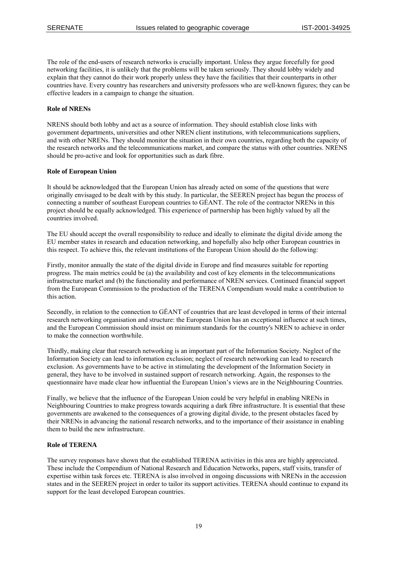The role of the end-users of research networks is crucially important. Unless they argue forcefully for good networking facilities, it is unlikely that the problems will be taken seriously. They should lobby widely and explain that they cannot do their work properly unless they have the facilities that their counterparts in other countries have. Every country has researchers and university professors who are well-known figures; they can be effective leaders in a campaign to change the situation.

#### **Role of NRENs**

NRENS should both lobby and act as a source of information. They should establish close links with government departments, universities and other NREN client institutions, with telecommunications suppliers, and with other NRENs. They should monitor the situation in their own countries, regarding both the capacity of the research networks and the telecommunications market, and compare the status with other countries. NRENS should be pro-active and look for opportunities such as dark fibre.

#### **Role of European Union**

It should be acknowledged that the European Union has already acted on some of the questions that were originally envisaged to be dealt with by this study. In particular, the SEEREN project has begun the process of connecting a number of southeast European countries to GÉANT. The role of the contractor NRENs in this project should be equally acknowledged. This experience of partnership has been highly valued by all the countries involved.

The EU should accept the overall responsibility to reduce and ideally to eliminate the digital divide among the EU member states in research and education networking, and hopefully also help other European countries in this respect. To achieve this, the relevant institutions of the European Union should do the following:

Firstly, monitor annually the state of the digital divide in Europe and find measures suitable for reporting progress. The main metrics could be (a) the availability and cost of key elements in the telecommunications infrastructure market and (b) the functionality and performance of NREN services. Continued financial support from the European Commission to the production of the TERENA Compendium would make a contribution to this action.

Secondly, in relation to the connection to GÉANT of countries that are least developed in terms of their internal research networking organisation and structure: the European Union has an exceptional influence at such times, and the European Commission should insist on minimum standards for the country's NREN to achieve in order to make the connection worthwhile.

Thirdly, making clear that research networking is an important part of the Information Society. Neglect of the Information Society can lead to information exclusion; neglect of research networking can lead to research exclusion. As governments have to be active in stimulating the development of the Information Society in general, they have to be involved in sustained support of research networking. Again, the responses to the questionnaire have made clear how influential the European Union's views are in the Neighbouring Countries.

Finally, we believe that the influence of the European Union could be very helpful in enabling NRENs in Neighbouring Countries to make progress towards acquiring a dark fibre infrastructure. It is essential that these governments are awakened to the consequences of a growing digital divide, to the present obstacles faced by their NRENs in advancing the national research networks, and to the importance of their assistance in enabling them to build the new infrastructure.

#### **Role of TERENA**

The survey responses have shown that the established TERENA activities in this area are highly appreciated. These include the Compendium of National Research and Education Networks, papers, staff visits, transfer of expertise within task forces etc. TERENA is also involved in ongoing discussions with NRENs in the accession states and in the SEEREN project in order to tailor its support activities. TERENA should continue to expand its support for the least developed European countries.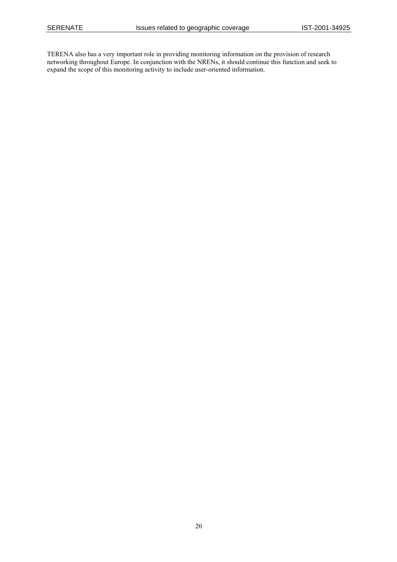TERENA also has a very important role in providing monitoring information on the provision of research networking throughout Europe. In conjunction with the NRENs, it should continue this function and seek to expand the scope of this monitoring activity to include user-oriented information.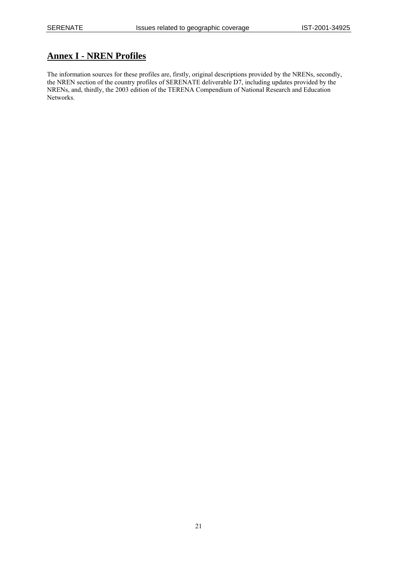## **Annex I - NREN Profiles**

The information sources for these profiles are, firstly, original descriptions provided by the NRENs, secondly, the NREN section of the country profiles of SERENATE deliverable D7, including updates provided by the NRENs, and, thirdly, the 2003 edition of the TERENA Compendium of National Research and Education Networks.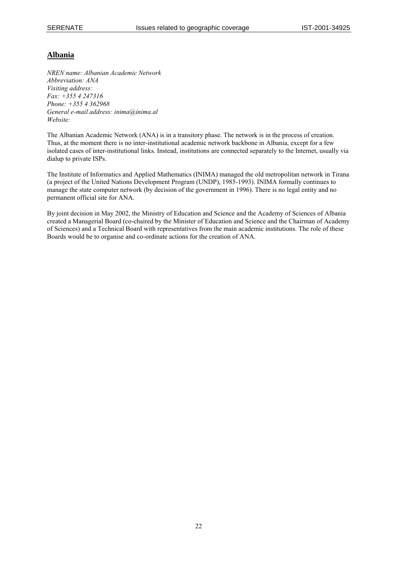## **Albania**

*NREN name: Albanian Academic Network Abbreviation: ANA Visiting address: Fax: +355 4 247316 Phone: +355 4 362968 General e-mail address: inima@inima.al Website:* 

The Albanian Academic Network (ANA) is in a transitory phase. The network is in the process of creation. Thus, at the moment there is no inter-institutional academic network backbone in Albania, except for a few isolated cases of inter-institutional links. Instead, institutions are connected separately to the Internet, usually via dialup to private ISPs.

The Institute of Informatics and Applied Mathematics (INIMA) managed the old metropolitan network in Tirana (a project of the United Nations Development Program (UNDP), 1985-1993). INIMA formally continues to manage the state computer network (by decision of the government in 1996). There is no legal entity and no permanent official site for ANA.

By joint decision in May 2002, the Ministry of Education and Science and the Academy of Sciences of Albania created a Managerial Board (co-chaired by the Minister of Education and Science and the Chairman of Academy of Sciences) and a Technical Board with representatives from the main academic institutions. The role of these Boards would be to organise and co-ordinate actions for the creation of ANA.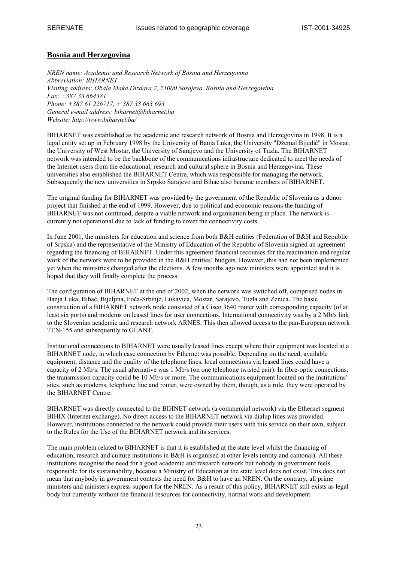## **Bosnia and Herzegovina**

*NREN name: Academic and Research Network of Bosnia and Herzegovina Abbreviation: BIHARNET Visiting address: Obala Maka Dizdara 2, 71000 Sarajevo, Bosnia and Herzegowina Fax: +387 33 664381 Phone: +387 61 226717, + 387 33 663 693 General e-mail address: biharnet@biharnet.ba Website: http://www.biharnet.ba/* 

BIHARNET was established as the academic and research network of Bosnia and Herzegovina in 1998. It is a legal entity set up in February 1998 by the University of Banja Luka, the University "Džemal Bijedić" in Mostar, the University of West Mostar, the University of Sarajevo and the University of Tuzla. The BIHARNET network was intended to be the backbone of the communications infrastructure dedicated to meet the needs of the Internet users from the educational, research and cultural sphere in Bosnia and Herzegovina. These universities also established the BIHARNET Centre, which was responsible for managing the network. Subsequently the new universities in Srpsko Sarajevo and Bihac also became members of BIHARNET.

The original funding for BIHARNET was provided by the government of the Republic of Slovenia as a donor project that finished at the end of 1999. However, due to political and economic reasons the funding of BIHARNET was not continued, despite a viable network and organisation being in place. The network is currently not operational due to lack of funding to cover the connectivity costs.

In June 2001, the ministers for education and science from both B&H entities (Federation of B&H and Republic of Srpska) and the representative of the Ministry of Education of the Republic of Slovenia signed an agreement regarding the financing of BIHARNET. Under this agreement financial recourses for the reactivation and regular work of the network were to be provided in the B&H entities' budgets. However, this had not been implemented yet when the ministries changed after the elections. A few months ago new ministers were appointed and it is hoped that they will finally complete the process.

The configuration of BIHARNET at the end of 2002, when the network was switched off, comprised nodes in Banja Luka, Bihać, Bijeljina, Foča-Srbinje, Lukavica, Mostar, Sarajevo, Tuzla and Zenica. The basic construction of a BIHARNET network node consisted of a Cisco 3640 router with corresponding capacity (of at least six ports) and modems on leased lines for user connections. International connectivity was by a 2 Mb/s link to the Slovenian academic and research network ARNES. This then allowed access to the pan-European network TEN-155 and subsequently to GÉANT.

Institutional connections to BIHARNET were usually leased lines except where their equipment was located at a BIHARNET node, in which case connection by Ethernet was possible. Depending on the need, available equipment, distance and the quality of the telephone lines, local connections via leased lines could have a capacity of 2 Mb/s. The usual alternative was 1 Mb/s (on one telephone twisted pair). In fibre-optic connections, the transmission capacity could be 10 Mb/s or more. The communications equipment located on the institutions' sites, such as modems, telephone line and router, were owned by them, though, as a rule, they were operated by the BIHARNET Centre.

BIHARNET was directly connected to the BIHNET network (a commercial network) via the Ethernet segment BIHIX (Internet exchange). No direct access to the BIHARNET network via dialup lines was provided. However, institutions connected to the network could provide their users with this service on their own, subject to the Rules for the Use of the BIHARNET network and its services.

The main problem related to BIHARNET is that it is established at the state level whilst the financing of education, research and culture institutions in B&H is organised at other levels (entity and cantonal). All these institutions recognise the need for a good academic and research network but nobody in government feels responsible for its sustainability, because a Ministry of Education at the state level does not exist. This does not mean that anybody in government contests the need for B&H to have an NREN. On the contrary, all prime ministers and ministers express support for the NREN. As a result of this policy, BIHARNET still exists as legal body but currently without the financial resources for connectivity, normal work and development.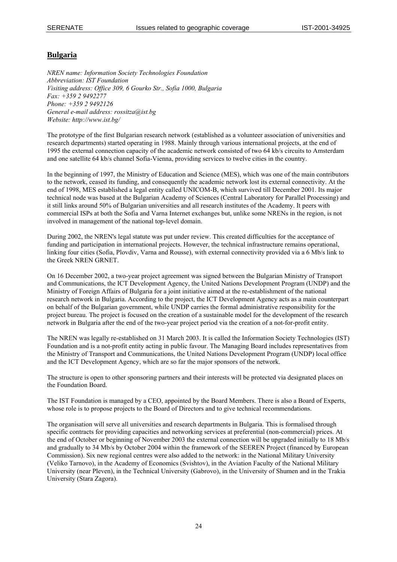## **Bulgaria**

*NREN name: Information Society Technologies Foundation Abbreviation: IST Foundation Visiting address: Office 309, 6 Gourko Str., Sofia 1000, Bulgaria Fax: +359 2 9492277 Phone: +359 2 9492126 General e-mail address: rossitza@ist.bg Website: http://www.ist.bg/* 

The prototype of the first Bulgarian research network (established as a volunteer association of universities and research departments) started operating in 1988. Mainly through various international projects, at the end of 1995 the external connection capacity of the academic network consisted of two 64 kb/s circuits to Amsterdam and one satellite 64 kb/s channel Sofia-Vienna, providing services to twelve cities in the country.

In the beginning of 1997, the Ministry of Education and Science (MES), which was one of the main contributors to the network, ceased its funding, and consequently the academic network lost its external connectivity. At the end of 1998, MES established a legal entity called UNICOM-B, which survived till December 2001. Its major technical node was based at the Bulgarian Academy of Sciences (Central Laboratory for Parallel Processing) and it still links around 50% of Bulgarian universities and all research institutes of the Academy. It peers with commercial ISPs at both the Sofia and Varna Internet exchanges but, unlike some NRENs in the region, is not involved in management of the national top-level domain.

During 2002, the NREN's legal statute was put under review. This created difficulties for the acceptance of funding and participation in international projects. However, the technical infrastructure remains operational, linking four cities (Sofia, Plovdiv, Varna and Rousse), with external connectivity provided via a 6 Mb/s link to the Greek NREN GRNET.

On 16 December 2002, a two-year project agreement was signed between the Bulgarian Ministry of Transport and Communications, the ICT Development Agency, the United Nations Development Program (UNDP) and the Ministry of Foreign Affairs of Bulgaria for a joint initiative aimed at the re-establishment of the national research network in Bulgaria. According to the project, the ICT Development Agency acts as a main counterpart on behalf of the Bulgarian government, while UNDP carries the formal administrative responsibility for the project bureau. The project is focused on the creation of a sustainable model for the development of the research network in Bulgaria after the end of the two-year project period via the creation of a not-for-profit entity.

The NREN was legally re-established on 31 March 2003. It is called the Information Society Technologies (IST) Foundation and is a not-profit entity acting in public favour. The Managing Board includes representatives from the Ministry of Transport and Communications, the United Nations Development Program (UNDP) local office and the ICT Development Agency, which are so far the major sponsors of the network.

The structure is open to other sponsoring partners and their interests will be protected via designated places on the Foundation Board.

The IST Foundation is managed by a CEO, appointed by the Board Members. There is also a Board of Experts, whose role is to propose projects to the Board of Directors and to give technical recommendations.

The organisation will serve all universities and research departments in Bulgaria. This is formalised through specific contracts for providing capacities and networking services at preferential (non-commercial) prices. At the end of October or beginning of November 2003 the external connection will be upgraded initially to 18 Mb/s and gradually to 34 Mb/s by October 2004 within the framework of the SEEREN Project (financed by European Commission). Six new regional centres were also added to the network: in the National Military University (Veliko Tarnovo), in the Academy of Economics (Svishtov), in the Aviation Faculty of the National Military University (near Pleven), in the Technical University (Gabrovo), in the University of Shumen and in the Trakia University (Stara Zagora).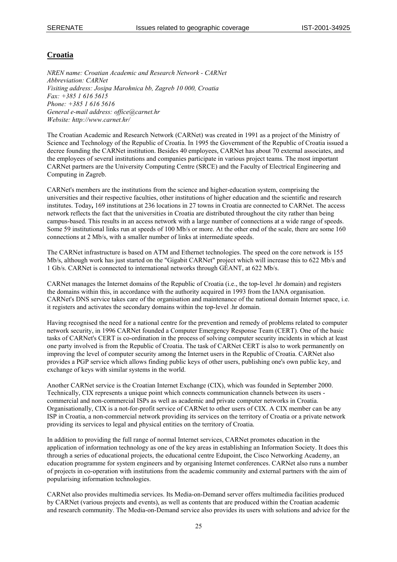## **Croatia**

*NREN name: Croatian Academic and Research Network - CARNet Abbreviation: CARNet Visiting address: Josipa Marohnica bb, Zagreb 10 000, Croatia Fax: +385 1 616 5615 Phone: +385 1 616 5616 General e-mail address: office@carnet.hr Website: http://www.carnet.hr/* 

The Croatian Academic and Research Network (CARNet) was created in 1991 as a project of the Ministry of Science and Technology of the Republic of Croatia. In 1995 the Government of the Republic of Croatia issued a decree founding the CARNet institution. Besides 40 employees, CARNet has about 70 external associates, and the employees of several institutions and companies participate in various project teams. The most important CARNet partners are the University Computing Centre (SRCE) and the Faculty of Electrical Engineering and Computing in Zagreb.

CARNet's members are the institutions from the science and higher-education system, comprising the universities and their respective faculties, other institutions of higher education and the scientific and research institutes. Today**,** 169 institutions at 236 locations in 27 towns in Croatia are connected to CARNet. The access network reflects the fact that the universities in Croatia are distributed throughout the city rather than being campus-based. This results in an access network with a large number of connections at a wide range of speeds. Some 59 institutional links run at speeds of 100 Mb/s or more. At the other end of the scale, there are some 160 connections at 2 Mb/s, with a smaller number of links at intermediate speeds.

The CARNet infrastructure is based on ATM and Ethernet technologies. The speed on the core network is 155 Mb/s, although work has just started on the "Gigabit CARNet" project which will increase this to 622 Mb/s and 1 Gb/s. CARNet is connected to international networks through GÉANT, at 622 Mb/s.

CARNet manages the Internet domains of the Republic of Croatia (i.e., the top-level .hr domain) and registers the domains within this, in accordance with the authority acquired in 1993 from the IANA organisation. CARNet's DNS service takes care of the organisation and maintenance of the national domain Internet space, i.e. it registers and activates the secondary domains within the top-level .hr domain.

Having recognised the need for a national centre for the prevention and remedy of problems related to computer network security, in 1996 CARNet founded a Computer Emergency Response Team (CERT). One of the basic tasks of CARNet's CERT is co-ordination in the process of solving computer security incidents in which at least one party involved is from the Republic of Croatia. The task of CARNet CERT is also to work permanently on improving the level of computer security among the Internet users in the Republic of Croatia. CARNet also provides a PGP service which allows finding public keys of other users, publishing one's own public key, and exchange of keys with similar systems in the world.

Another CARNet service is the Croatian Internet Exchange (CIX), which was founded in September 2000. Technically, CIX represents a unique point which connects communication channels between its users commercial and non-commercial ISPs as well as academic and private computer networks in Croatia. Organisationally, CIX is a not-for-profit service of CARNet to other users of CIX. A CIX member can be any ISP in Croatia, a non-commercial network providing its services on the territory of Croatia or a private network providing its services to legal and physical entities on the territory of Croatia.

In addition to providing the full range of normal Internet services, CARNet promotes education in the application of information technology as one of the key areas in establishing an Information Society. It does this through a series of educational projects, the educational centre Edupoint, the Cisco Networking Academy, an education programme for system engineers and by organising Internet conferences. CARNet also runs a number of projects in co-operation with institutions from the academic community and external partners with the aim of popularising information technologies.

CARNet also provides multimedia services. Its Media-on-Demand server offers multimedia facilities produced by CARNet (various projects and events), as well as contents that are produced within the Croatian academic and research community. The Media-on-Demand service also provides its users with solutions and advice for the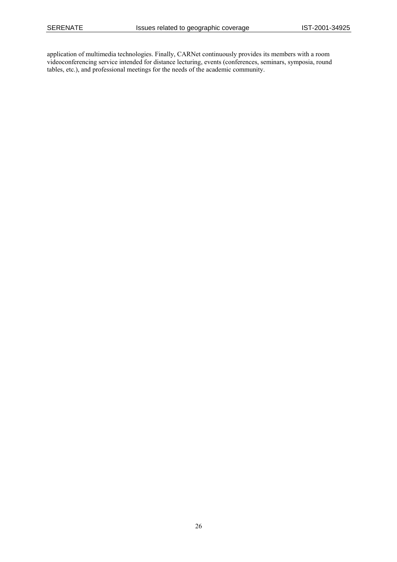application of multimedia technologies. Finally, CARNet continuously provides its members with a room videoconferencing service intended for distance lecturing, events (conferences, seminars, symposia, round tables, etc.), and professional meetings for the needs of the academic community.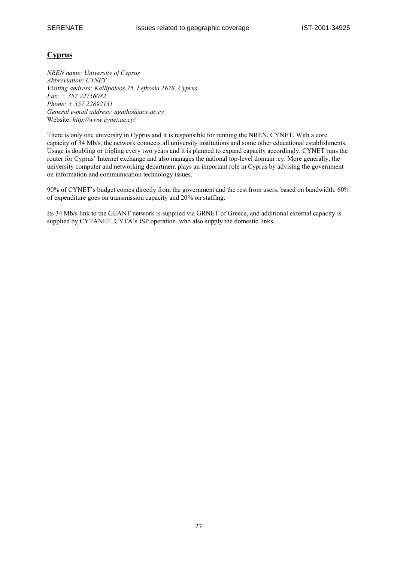## **Cyprus**

*NREN name: University of Cyprus Abbreviation: CYNET Visiting address: Kallipoleos 75, Lefkosia 1678, Cyprus Fax: + 357 22756082 Phone: + 357 22892131 General e-mail address: agatho@ucy.ac.cy*  Website: *http://www.cynet.ac.cy/*

There is only one university in Cyprus and it is responsible for running the NREN, CYNET. With a core capacity of 34 Mb/s, the network connects all university institutions and some other educational establishments. Usage is doubling or tripling every two years and it is planned to expand capacity accordingly. CYNET runs the router for Cyprus' Internet exchange and also manages the national top-level domain .cy. More generally, the university computer and networking department plays an important role in Cyprus by advising the government on information and communication technology issues.

90% of CYNET's budget comes directly from the government and the rest from users, based on bandwidth. 60% of expenditure goes on transmission capacity and 20% on staffing.

Its 34 Mb/s link to the GÉANT network is supplied via GRNET of Greece, and additional external capacity is supplied by CYTANET, CYTA's ISP operation, who also supply the domestic links.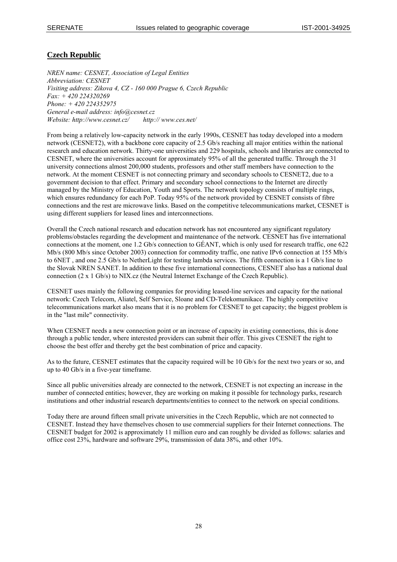## **Czech Republic**

*NREN name: CESNET, Association of Legal Entities Abbreviation: CESNET Visiting address: Zikova 4, CZ - 160 000 Prague 6, Czech Republic Fax: + 420 224320269 Phone: + 420 224352975 General e-mail address: info@cesnet.cz Website: http://www.cesnet.cz/ http:// www.ces.net/* 

From being a relatively low-capacity network in the early 1990s, CESNET has today developed into a modern network (CESNET2), with a backbone core capacity of 2.5 Gb/s reaching all major entities within the national research and education network. Thirty-one universities and 229 hospitals, schools and libraries are connected to CESNET, where the universities account for approximately 95% of all the generated traffic. Through the 31 university connections almost 200,000 students, professors and other staff members have connection to the network. At the moment CESNET is not connecting primary and secondary schools to CESNET2, due to a government decision to that effect. Primary and secondary school connections to the Internet are directly managed by the Ministry of Education, Youth and Sports. The network topology consists of multiple rings, which ensures redundancy for each PoP. Today 95% of the network provided by CESNET consists of fibre connections and the rest are microwave links. Based on the competitive telecommunications market, CESNET is using different suppliers for leased lines and interconnections.

Overall the Czech national research and education network has not encountered any significant regulatory problems/obstacles regarding the development and maintenance of the network. CESNET has five international connections at the moment, one 1.2 Gb/s connection to GÉANT, which is only used for research traffic, one 622 Mb/s (800 Mb/s since October 2003) connection for commodity traffic, one native IPv6 connection at 155 Mb/s to 6NET , and one 2.5 Gb/s to NetherLight for testing lambda services. The fifth connection is a 1 Gb/s line to the Slovak NREN SANET. In addition to these five international connections, CESNET also has a national dual connection (2 x 1 Gb/s) to NIX.cz (the Neutral Internet Exchange of the Czech Republic).

CESNET uses mainly the following companies for providing leased-line services and capacity for the national network: Czech Telecom, Aliatel, Self Service, Sloane and CD-Telekomunikace. The highly competitive telecommunications market also means that it is no problem for CESNET to get capacity; the biggest problem is in the "last mile" connectivity.

When CESNET needs a new connection point or an increase of capacity in existing connections, this is done through a public tender, where interested providers can submit their offer. This gives CESNET the right to choose the best offer and thereby get the best combination of price and capacity.

As to the future, CESNET estimates that the capacity required will be 10 Gb/s for the next two years or so, and up to 40 Gb/s in a five-year timeframe.

Since all public universities already are connected to the network, CESNET is not expecting an increase in the number of connected entities; however, they are working on making it possible for technology parks, research institutions and other industrial research departments/entities to connect to the network on special conditions.

Today there are around fifteen small private universities in the Czech Republic, which are not connected to CESNET. Instead they have themselves chosen to use commercial suppliers for their Internet connections. The CESNET budget for 2002 is approximately 11 million euro and can roughly be divided as follows: salaries and office cost 23%, hardware and software 29%, transmission of data 38%, and other 10%.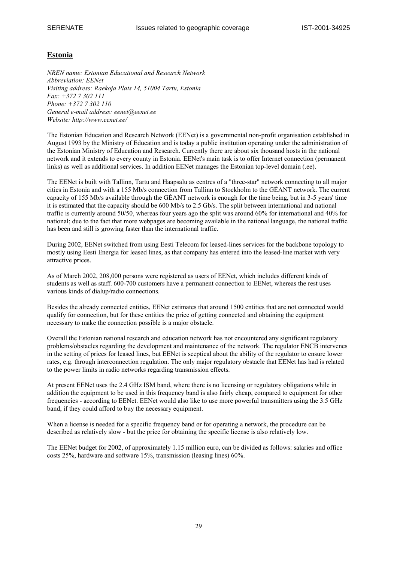## **Estonia**

*NREN name: Estonian Educational and Research Network Abbreviation: EENet Visiting address: Raekoja Plats 14, 51004 Tartu, Estonia Fax: +372 7 302 111 Phone: +372 7 302 110 General e-mail address: eenet@eenet.ee Website: http://www.eenet.ee/* 

The Estonian Education and Research Network (EENet) is a governmental non-profit organisation established in August 1993 by the Ministry of Education and is today a public institution operating under the administration of the Estonian Ministry of Education and Research. Currently there are about six thousand hosts in the national network and it extends to every county in Estonia. EENet's main task is to offer Internet connection (permanent links) as well as additional services. In addition EENet manages the Estonian top-level domain (.ee).

The EENet is built with Tallinn, Tartu and Haapsalu as centres of a "three-star" network connecting to all major cities in Estonia and with a 155 Mb/s connection from Tallinn to Stockholm to the GÉANT network. The current capacity of 155 Mb/s available through the GÉANT network is enough for the time being, but in 3-5 years' time it is estimated that the capacity should be 600 Mb/s to 2.5 Gb/s. The split between international and national traffic is currently around 50/50, whereas four years ago the split was around 60% for international and 40% for national; due to the fact that more webpages are becoming available in the national language, the national traffic has been and still is growing faster than the international traffic.

During 2002, EENet switched from using Eesti Telecom for leased-lines services for the backbone topology to mostly using Eesti Energia for leased lines, as that company has entered into the leased-line market with very attractive prices.

As of March 2002, 208,000 persons were registered as users of EENet, which includes different kinds of students as well as staff. 600-700 customers have a permanent connection to EENet, whereas the rest uses various kinds of dialup/radio connections.

Besides the already connected entities, EENet estimates that around 1500 entities that are not connected would qualify for connection, but for these entities the price of getting connected and obtaining the equipment necessary to make the connection possible is a major obstacle.

Overall the Estonian national research and education network has not encountered any significant regulatory problems/obstacles regarding the development and maintenance of the network. The regulator ENCB intervenes in the setting of prices for leased lines, but EENet is sceptical about the ability of the regulator to ensure lower rates, e.g. through interconnection regulation. The only major regulatory obstacle that EENet has had is related to the power limits in radio networks regarding transmission effects.

At present EENet uses the 2.4 GHz ISM band, where there is no licensing or regulatory obligations while in addition the equipment to be used in this frequency band is also fairly cheap, compared to equipment for other frequencies - according to EENet. EENet would also like to use more powerful transmitters using the 3.5 GHz band, if they could afford to buy the necessary equipment.

When a license is needed for a specific frequency band or for operating a network, the procedure can be described as relatively slow - but the price for obtaining the specific license is also relatively low.

The EENet budget for 2002, of approximately 1.15 million euro, can be divided as follows: salaries and office costs 25%, hardware and software 15%, transmission (leasing lines) 60%.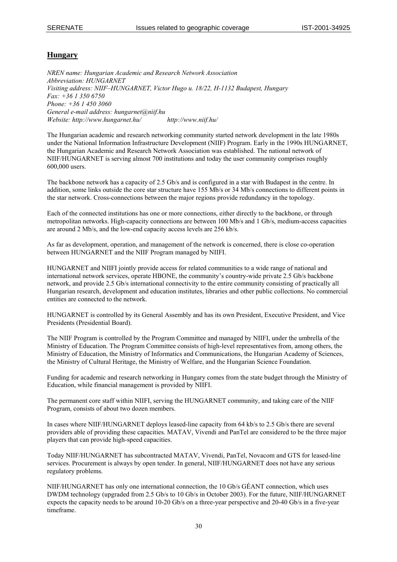## **Hungary**

*NREN name: Hungarian Academic and Research Network Association Abbreviation: HUNGARNET Visiting address: NIIF–HUNGARNET, Victor Hugo u. 18/22, H-1132 Budapest, Hungary Fax: +36 1 350 6750 Phone: +36 1 450 3060 General e-mail address: hungarnet@niif.hu Website: http://www.hungarnet.hu/ http://www.niif.hu/* 

The Hungarian academic and research networking community started network development in the late 1980s under the National Information Infrastructure Development (NIIF) Program. Early in the 1990s HUNGARNET, the Hungarian Academic and Research Network Association was established. The national network of NIIF/HUNGARNET is serving almost 700 institutions and today the user community comprises roughly 600,000 users.

The backbone network has a capacity of 2.5 Gb/s and is configured in a star with Budapest in the centre. In addition, some links outside the core star structure have 155 Mb/s or 34 Mb/s connections to different points in the star network. Cross-connections between the major regions provide redundancy in the topology.

Each of the connected institutions has one or more connections, either directly to the backbone, or through metropolitan networks. High-capacity connections are between 100 Mb/s and 1 Gb/s, medium-access capacities are around 2 Mb/s, and the low-end capacity access levels are 256 kb/s.

As far as development, operation, and management of the network is concerned, there is close co-operation between HUNGARNET and the NIIF Program managed by NIIFI.

HUNGARNET and NIIFI jointly provide access for related communities to a wide range of national and international network services, operate HBONE, the community's country-wide private 2.5 Gb/s backbone network, and provide 2.5 Gb/s international connectivity to the entire community consisting of practically all Hungarian research, development and education institutes, libraries and other public collections. No commercial entities are connected to the network.

HUNGARNET is controlled by its General Assembly and has its own President, Executive President, and Vice Presidents (Presidential Board).

The NIIF Program is controlled by the Program Committee and managed by NIIFI, under the umbrella of the Ministry of Education. The Program Committee consists of high-level representatives from, among others, the Ministry of Education, the Ministry of Informatics and Communications, the Hungarian Academy of Sciences, the Ministry of Cultural Heritage, the Ministry of Welfare, and the Hungarian Science Foundation.

Funding for academic and research networking in Hungary comes from the state budget through the Ministry of Education, while financial management is provided by NIIFI.

The permanent core staff within NIIFI, serving the HUNGARNET community, and taking care of the NIIF Program, consists of about two dozen members.

In cases where NIIF/HUNGARNET deploys leased-line capacity from 64 kb/s to 2.5 Gb/s there are several providers able of providing these capacities. MATAV, Vivendi and PanTel are considered to be the three major players that can provide high-speed capacities.

Today NIIF/HUNGARNET has subcontracted MATAV, Vivendi, PanTel, Novacom and GTS for leased-line services. Procurement is always by open tender. In general, NIIF/HUNGARNET does not have any serious regulatory problems.

NIIF/HUNGARNET has only one international connection, the 10 Gb/s GÉANT connection, which uses DWDM technology (upgraded from 2.5 Gb/s to 10 Gb/s in October 2003). For the future, NIIF/HUNGARNET expects the capacity needs to be around 10-20 Gb/s on a three-year perspective and 20-40 Gb/s in a five-year timeframe.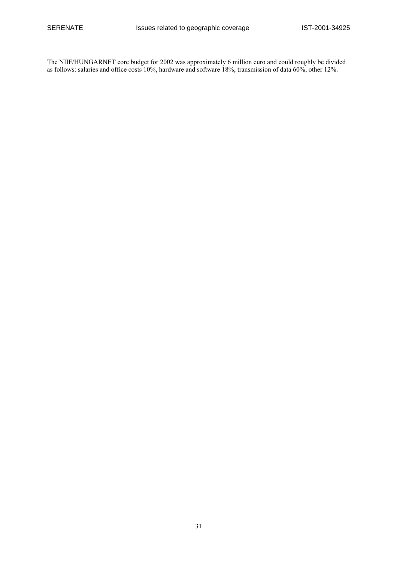The NIIF/HUNGARNET core budget for 2002 was approximately 6 million euro and could roughly be divided as follows: salaries and office costs 10%, hardware and software 18%, transmission of data 60%, other 12%.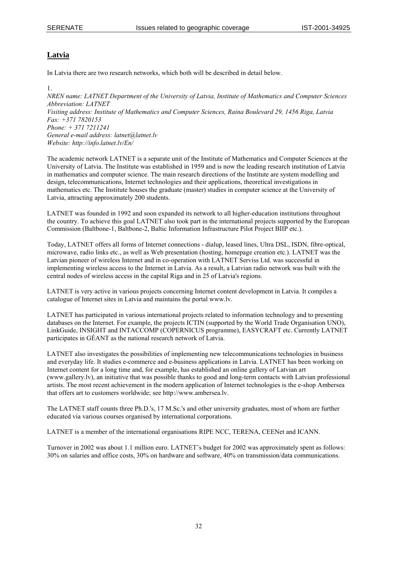## **Latvia**

In Latvia there are two research networks, which both will be described in detail below.

1. *NREN name: LATNET Department of the University of Latvia, Institute of Mathematics and Computer Sciences Abbreviation: LATNET Visiting address: Institute of Mathematics and Computer Sciences, Raina Boulevard 29, 1456 Riga, Latvia Fax: +371 7820153 Phone: + 371 7211241 General e-mail address: latnet@latnet.lv Website: http://info.latnet.lv/En/* 

The academic network LATNET is a separate unit of the Institute of Mathematics and Computer Sciences at the University of Latvia. The Institute was established in 1959 and is now the leading research institution of Latvia in mathematics and computer science. The main research directions of the Institute are system modelling and design, telecommunications, Internet technologies and their applications, theoretical investigations in mathematics etc. The Institute houses the graduate (master) studies in computer science at the University of Latvia, attracting approximately 200 students.

LATNET was founded in 1992 and soon expanded its network to all higher-education institutions throughout the country. To achieve this goal LATNET also took part in the international projects supported by the European Commission (Baltbone-1, Baltbone-2, Baltic Information Infrastructure Pilot Project BIIP etc.).

Today, LATNET offers all forms of Internet connections - dialup, leased lines, Ultra DSL, ISDN, fibre-optical, microwave, radio links etc., as well as Web presentation (hosting, homepage creation etc.). LATNET was the Latvian pioneer of wireless Internet and in co-operation with LATNET Serviss Ltd. was successful in implementing wireless access to the Internet in Latvia. As a result, a Latvian radio network was built with the central nodes of wireless access in the capital Riga and in 25 of Latvia's regions.

LATNET is very active in various projects concerning Internet content development in Latvia. It compiles a catalogue of Internet sites in Latvia and maintains the portal www.lv.

LATNET has participated in various international projects related to information technology and to presenting databases on the Internet. For example, the projects ICTIN (supported by the World Trade Organisation UNO), LinkGuide, INSIGHT and INTACCOMP (COPERNICUS programme), EASYCRAFT etc. Currently LATNET participates in GÉANT as the national research network of Latvia.

LATNET also investigates the possibilities of implementing new telecommunications technologies in business and everyday life. It studies e-commerce and e-business applications in Latvia. LATNET has been working on Internet content for a long time and, for example, has established an online gallery of Latvian art ([www.gallery.lv](http://www.gallery.lv/)), an initiative that was possible thanks to good and long-term contacts with Latvian professional artists. The most recent achievement in the modern application of Internet technologies is the e-shop Ambersea that offers art to customers worldwide; see http://www.ambersea.lv.

The LATNET staff counts three Ph.D.'s, 17 M.Sc.'s and other university graduates, most of whom are further educated via various courses organised by international corporations.

LATNET is a member of the international organisations RIPE NCC, TERENA, CEENet and ICANN.

Turnover in 2002 was about 1.1 million euro. LATNET's budget for 2002 was approximately spent as follows: 30% on salaries and office costs, 30% on hardware and software, 40% on transmission/data communications.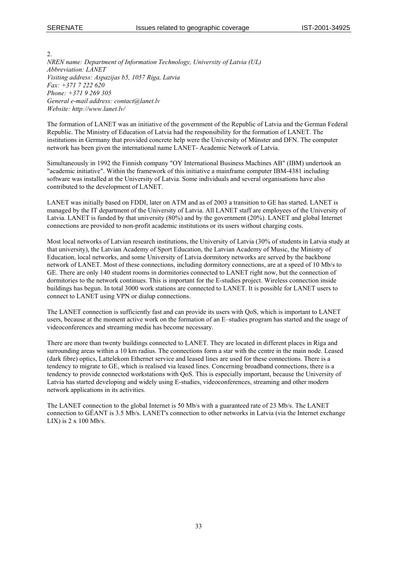$\mathcal{L}$ *NREN name: Department of Information Technology, University of Latvia (UL) Abbreviation: LANET Visiting address: Aspazijas b5, 1057 Riga, Latvia Fax: +371 7 222 620 Phone: +371 9 269 305 General e-mail address: contact@lanet.lv Website: http://www.lanet.lv/* 

The formation of LANET was an initiative of the government of the Republic of Latvia and the German Federal Republic. The Ministry of Education of Latvia had the responsibility for the formation of LANET. The institutions in Germany that provided concrete help were the [University of Münster and DFN.](http://www.uni-muenster.de/) The computer network has been given the international name LANET- Academic Network of Latvia.

Simultaneously in 1992 the Finnish company "OY International Business Machines AB" [\(IBM](http://www.ibm.lv/)) undertook an "academic initiative". Within the framework of this initiative a mainframe computer IBM-4381 including software was installed at the University of Latvia. Some individuals and several organisations have also contributed to the development of LANET.

LANET was initially based on FDDI, later on ATM and as of 2003 a transition to GE has started. LANET is managed by the IT department of the University of Latvia. All LANET staff are employees of the University of Latvia. LANET is funded by that university (80%) and by the government (20%). LANET and global Internet connections are provided to non-profit academic institutions or its users without charging costs.

Most local networks of Latvian research institutions, the University of Latvia (30% of students in Latvia study at that university), the Latvian Academy of Sport Education, the Latvian Academy of Music, the Ministry of Education, local networks, and some University of Latvia dormitory networks are served by the backbone network of LANET. Most of these connections, including dormitory connections, are at a speed of 10 Mb/s to GE. There are only 140 student rooms in dormitories connected to LANET right now, but the connection of dormitories to the network continues. This is important for the E-studies project. Wireless connection inside buildings has begun. In total 3000 work stations are connected to LANET. It is possible for LANET users to connect to LANET using VPN or dialup connections.

The LANET connection is sufficiently fast and can provide its users with QoS, which is important to LANET users, because at the moment active work on the formation of an E–studies program has started and the usage of videoconferences and streaming media has become necessary.

There are more than twenty buildings connected to LANET. They are located in different places in Riga and surrounding areas within a 10 km radius. The connections form a star with the centre in the main node. Leased (dark fibre) optics, Lattelekom Ethernet service and leased lines are used for these connections. There is a tendency to migrate to GE, which is realised via leased lines. Concerning broadband connections, there is a tendency to provide connected workstations with QoS. This is especially important, because the University of Latvia has started developing and widely using E-studies, videoconferences, streaming and other modern network applications in its activities.

The LANET connection to the global Internet is 50 Mb/s with a guaranteed rate of 23 Mb/s. The LANET connection to GÉANT is 3.5 Mb/s. LANET's connection to other networks in Latvia (via the Internet exchange LIX) is  $2 \times 100$  Mb/s.

33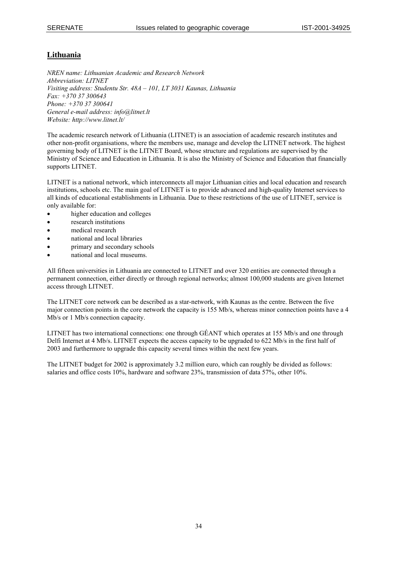## **Lithuania**

*NREN name: Lithuanian Academic and Research Network Abbreviation: LITNET Visiting address: Studentu Str. 48A – 101, LT 3031 Kaunas, Lithuania Fax: +370 37 300643 Phone: +370 37 300641 General e-mail address: info@litnet.lt Website: http://www.litnet.lt/* 

The academic research network of Lithuania (LITNET) is an association of academic research institutes and other non-profit organisations, where the members use, manage and develop the LITNET network. The highest governing body of LITNET is the LITNET Board, whose structure and regulations are supervised by the Ministry of Science and Education in Lithuania. It is also the Ministry of Science and Education that financially supports LITNET.

LITNET is a national network, which interconnects all major Lithuanian cities and local education and research institutions, schools etc. The main goal of LITNET is to provide advanced and high-quality Internet services to all kinds of educational establishments in Lithuania. Due to these restrictions of the use of LITNET, service is only available for:

- higher education and colleges
- research institutions
- medical research
- national and local libraries
- primary and secondary schools
- national and local museums.

All fifteen universities in Lithuania are connected to LITNET and over 320 entities are connected through a permanent connection, either directly or through regional networks; almost 100,000 students are given Internet access through LITNET.

The LITNET core network can be described as a star-network, with Kaunas as the centre. Between the five major connection points in the core network the capacity is 155 Mb/s, whereas minor connection points have a 4 Mb/s or 1 Mb/s connection capacity.

LITNET has two international connections: one through GÉANT which operates at 155 Mb/s and one through Delfi Internet at 4 Mb/s. LITNET expects the access capacity to be upgraded to 622 Mb/s in the first half of 2003 and furthermore to upgrade this capacity several times within the next few years.

The LITNET budget for 2002 is approximately 3.2 million euro, which can roughly be divided as follows: salaries and office costs 10%, hardware and software 23%, transmission of data 57%, other 10%.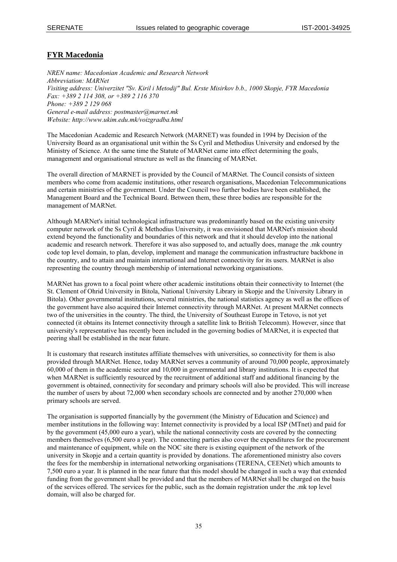## **FYR Macedonia**

*NREN name: Macedonian Academic and Research Network Abbreviation: MARNet Visiting address: Univerzitet "Sv. Kiril i Metodij" Bul. Krste Misirkov b.b., 1000 Skopje, FYR Macedonia Fax: +389 2 114 308, or +389 2 116 370 Phone: +389 2 129 068 General e-mail address: postmaster@marnet.mk Website: http://www.ukim.edu.mk/voizgradba.html* 

The Macedonian Academic and Research Network (MARNET) was founded in 1994 by Decision of the University Board as an organisational unit within the Ss Cyril and Methodius University and endorsed by the Ministry of Science. At the same time the Statute of MARNet came into effect determining the goals, management and organisational structure as well as the financing of MARNet.

The overall direction of MARNET is provided by the Council of MARNet. The Council consists of sixteen members who come from academic institutions, other research organisations, Macedonian Telecommunications and certain ministries of the government. Under the Council two further bodies have been established, the Management Board and the Technical Board. Between them, these three bodies are responsible for the management of MARNet.

Although MARNet's initial technological infrastructure was predominantly based on the existing university computer network of the Ss Cyril & Methodius University, it was envisioned that MARNet's mission should extend beyond the functionality and boundaries of this network and that it should develop into the national academic and research network. Therefore it was also supposed to, and actually does, manage the .mk country code top level domain, to plan, develop, implement and manage the communication infrastructure backbone in the country, and to attain and maintain international and Internet connectivity for its users. MARNet is also representing the country through membership of international networking organisations.

MARNet has grown to a focal point where other academic institutions obtain their connectivity to Internet (the St. Clement of Ohrid University in Bitola, National University Library in Skopje and the University Library in Bitola). Other governmental institutions, several ministries, the national statistics agency as well as the offices of the government have also acquired their Internet connectivity through MARNet. At present MARNet connects two of the universities in the country. The third, the University of Southeast Europe in Tetovo, is not yet connected (it obtains its Internet connectivity through a satellite link to British Telecomm). However, since that university's representative has recently been included in the governing bodies of MARNet, it is expected that peering shall be established in the near future.

It is customary that research institutes affiliate themselves with universities, so connectivity for them is also provided through MARNet. Hence, today MARNet serves a community of around 70,000 people, approximately 60,000 of them in the academic sector and 10,000 in governmental and library institutions. It is expected that when MARNet is sufficiently resourced by the recruitment of additional staff and additional financing by the government is obtained, connectivity for secondary and primary schools will also be provided. This will increase the number of users by about 72,000 when secondary schools are connected and by another 270,000 when primary schools are served.

The organisation is supported financially by the government (the Ministry of Education and Science) and member institutions in the following way: Internet connectivity is provided by a local ISP (MTnet) and paid for by the government (45,000 euro a year), while the national connectivity costs are covered by the connecting members themselves (6,500 euro a year). The connecting parties also cover the expenditures for the procurement and maintenance of equipment, while on the NOC site there is existing equipment of the network of the university in Skopje and a certain quantity is provided by donations. The aforementioned ministry also covers the fees for the membership in international networking organisations (TERENA, CEENet) which amounts to 7,500 euro a year. It is planned in the near future that this model should be changed in such a way that extended funding from the government shall be provided and that the members of MARNet shall be charged on the basis of the services offered. The services for the public, such as the domain registration under the .mk top level domain, will also be charged for.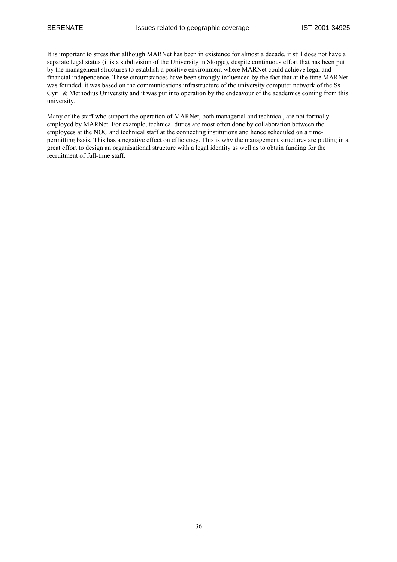It is important to stress that although MARNet has been in existence for almost a decade, it still does not have a separate legal status (it is a subdivision of the University in Skopje), despite continuous effort that has been put by the management structures to establish a positive environment where MARNet could achieve legal and financial independence. These circumstances have been strongly influenced by the fact that at the time MARNet was founded, it was based on the communications infrastructure of the university computer network of the Ss Cyril & Methodius University and it was put into operation by the endeavour of the academics coming from this university.

Many of the staff who support the operation of MARNet, both managerial and technical, are not formally employed by MARNet. For example, technical duties are most often done by collaboration between the employees at the NOC and technical staff at the connecting institutions and hence scheduled on a timepermitting basis. This has a negative effect on efficiency. This is why the management structures are putting in a great effort to design an organisational structure with a legal identity as well as to obtain funding for the recruitment of full-time staff.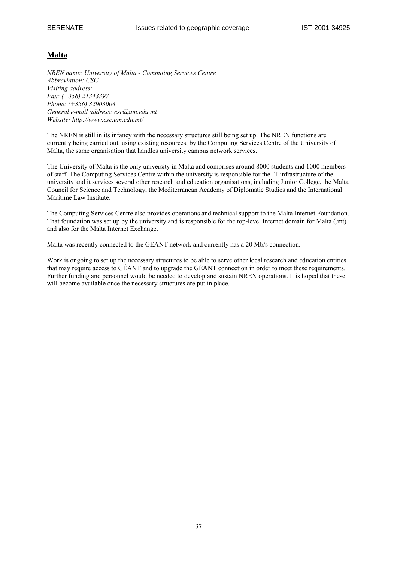## **Malta**

*NREN name: University of Malta - Computing Services Centre Abbreviation: CSC Visiting address: Fax: (+356) 21343397 Phone: (+356) 32903004 General e-mail address: csc@um.edu.mt Website: http://www.csc.um.edu.mt/* 

The NREN is still in its infancy with the necessary structures still being set up. The NREN functions are currently being carried out, using existing resources, by the Computing Services Centre of the University of Malta, the same organisation that handles university campus network services.

The University of Malta is the only university in Malta and comprises around 8000 students and 1000 members of staff. The Computing Services Centre within the university is responsible for the IT infrastructure of the university and it services several other research and education organisations, including Junior College, the Malta Council for Science and Technology, the Mediterranean Academy of Diplomatic Studies and the International Maritime Law Institute.

The Computing Services Centre also provides operations and technical support to the Malta Internet Foundation. That foundation was set up by the university and is responsible for the top-level Internet domain for Malta (.mt) and also for the Malta Internet Exchange.

Malta was recently connected to the GÉANT network and currently has a 20 Mb/s connection.

Work is ongoing to set up the necessary structures to be able to serve other local research and education entities that may require access to GÉANT and to upgrade the GÉANT connection in order to meet these requirements. Further funding and personnel would be needed to develop and sustain NREN operations. It is hoped that these will become available once the necessary structures are put in place.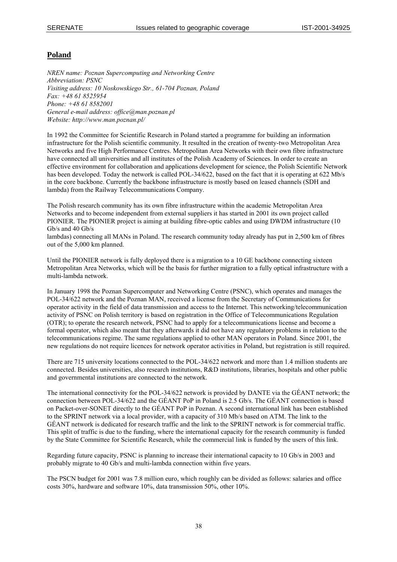## **Poland**

*NREN name: Poznan Supercomputing and Networking Centre Abbreviation: PSNC Visiting address: 10 Noskowskiego Str., 61-704 Poznan, Poland Fax: +48 61 8525954 Phone: +48 61 8582001 General e-mail address: office@man.poznan.pl Website: http://www.man.poznan.pl/* 

In 1992 the Committee for Scientific Research in Poland started a programme for building an information infrastructure for the Polish scientific community. It resulted in the creation of twenty-two Metropolitan Area Networks and five High Performance Centres. Metropolitan Area Networks with their own fibre infrastructure have connected all universities and all institutes of the Polish Academy of Sciences. In order to create an effective environment for collaboration and applications development for science, the Polish Scientific Network has been developed. Today the network is called POL-34/622, based on the fact that it is operating at 622 Mb/s in the core backbone. Currently the backbone infrastructure is mostly based on leased channels (SDH and lambda) from the Railway Telecommunications Company.

The Polish research community has its own fibre infrastructure within the academic Metropolitan Area Networks and to become independent from external suppliers it has started in 2001 its own project called PIONIER. The PIONIER project is aiming at building fibre-optic cables and using DWDM infrastructure (10 Gb/s and 40 Gb/s

lambdas) connecting all MANs in Poland. The research community today already has put in 2,500 km of fibres out of the 5,000 km planned.

Until the PIONIER network is fully deployed there is a migration to a 10 GE backbone connecting sixteen Metropolitan Area Networks, which will be the basis for further migration to a fully optical infrastructure with a multi-lambda network.

In January 1998 the Poznan Supercomputer and Networking Centre (PSNC), which operates and manages the POL-34/622 network and the Poznan MAN, received a license from the Secretary of Communications for operator activity in the field of data transmission and access to the Internet. This networking/telecommunication activity of PSNC on Polish territory is based on registration in the Office of Telecommunications Regulation (OTR); to operate the research network, PSNC had to apply for a telecommunications license and become a formal operator, which also meant that they afterwards it did not have any regulatory problems in relation to the telecommunications regime. The same regulations applied to other MAN operators in Poland. Since 2001, the new regulations do not require licences for network operator activities in Poland, but registration is still required.

There are 715 university locations connected to the POL-34/622 network and more than 1.4 million students are connected. Besides universities, also research institutions, R&D institutions, libraries, hospitals and other public and governmental institutions are connected to the network.

The international connectivity for the POL-34/622 network is provided by DANTE via the GÉANT network; the connection between POL-34/622 and the GÉANT PoP in Poland is 2.5 Gb/s. The GÉANT connection is based on Packet-over-SONET directly to the GÉANT PoP in Poznan. A second international link has been established to the SPRINT network via a local provider, with a capacity of 310 Mb/s based on ATM. The link to the GÉANT network is dedicated for research traffic and the link to the SPRINT network is for commercial traffic. This split of traffic is due to the funding, where the international capacity for the research community is funded by the State Committee for Scientific Research, while the commercial link is funded by the users of this link.

Regarding future capacity, PSNC is planning to increase their international capacity to 10 Gb/s in 2003 and probably migrate to 40 Gb/s and multi-lambda connection within five years.

The PSCN budget for 2001 was 7.8 million euro, which roughly can be divided as follows: salaries and office costs 30%, hardware and software 10%, data transmission 50%, other 10%.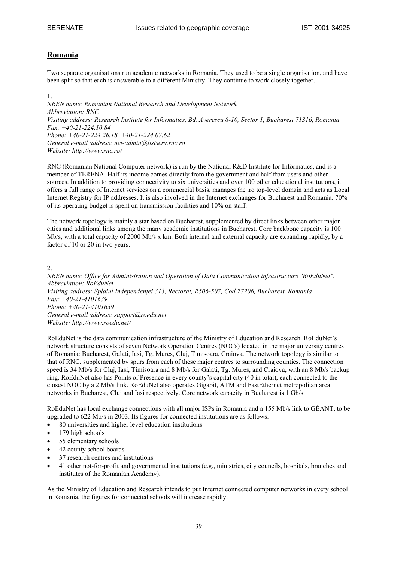## **Romania**

Two separate organisations run academic networks in Romania. They used to be a single organisation, and have been split so that each is answerable to a different Ministry. They continue to work closely together.

1. *NREN name: Romanian National Research and Development Network Abbreviation: RNC Visiting address: Research Institute for Informatics, Bd. Averescu 8-10, Sector 1, Bucharest 71316, Romania Fax: +40-21-224.10.84 Phone: +40-21-224.26.18, +40-21-224.07.62 General e-mail address: net-admin@listserv.rnc.ro Website: http://www.rnc.ro/* 

RNC (Romanian National Computer network) is run by the National R&D Institute for Informatics, and is a member of TERENA. Half its income comes directly from the government and half from users and other sources. In addition to providing connectivity to six universities and over 100 other educational institutions, it offers a full range of Internet services on a commercial basis, manages the .ro top-level domain and acts as Local Internet Registry for IP addresses. It is also involved in the Internet exchanges for Bucharest and Romania. 70% of its operating budget is spent on transmission facilities and 10% on staff.

The network topology is mainly a star based on Bucharest, supplemented by direct links between other major cities and additional links among the many academic institutions in Bucharest. Core backbone capacity is 100 Mb/s, with a total capacity of 2000 Mb/s x km. Both internal and external capacity are expanding rapidly, by a factor of 10 or 20 in two years.

#### $2.$

*NREN name: Office for Administration and Operation of Data Communication infrastructure "RoEduNet". Abbreviation: RoEduNet Visiting address: Splaiul Independenţei 313, Rectorat, R506-507, Cod 77206, Bucharest, Romania Fax: +40-21-4101639 Phone: +40-21-4101639 General e-mail address: support@roedu.net Website: http://www.roedu.net/* 

RoEduNet is the data communication infrastructure of the Ministry of Education and Research. RoEduNet's network structure consists of seven Network Operation Centres (NOCs) located in the major university centres of Romania: Bucharest, Galati, Iasi, Tg. Mures, Cluj, Timisoara, Craiova. The network topology is similar to that of RNC, supplemented by spurs from each of these major centres to surrounding counties. The connection speed is 34 Mb/s for Cluj, Iasi, Timisoara and 8 Mb/s for Galati, Tg. Mures, and Craiova, with an 8 Mb/s backup ring. RoEduNet also has Points of Presence in every county's capital city (40 in total), each connected to the closest NOC by a 2 Mb/s link. RoEduNet also operates Gigabit, ATM and FastEthernet metropolitan area networks in Bucharest, Cluj and Iasi respectively. Core network capacity in Bucharest is 1 Gb/s.

RoEduNet has local exchange connections with all major ISPs in Romania and a 155 Mb/s link to GÉANT, to be upgraded to 622 Mb/s in 2003. Its figures for connected institutions are as follows:

- 80 universities and higher level education institutions
- 179 high schools
- 55 elementary schools
- 42 county school boards
- 37 research centres and institutions
- 41 other not-for-profit and governmental institutions (e.g., ministries, city councils, hospitals, branches and institutes of the Romanian Academy).

As the Ministry of Education and Research intends to put Internet connected computer networks in every school in Romania, the figures for connected schools will increase rapidly.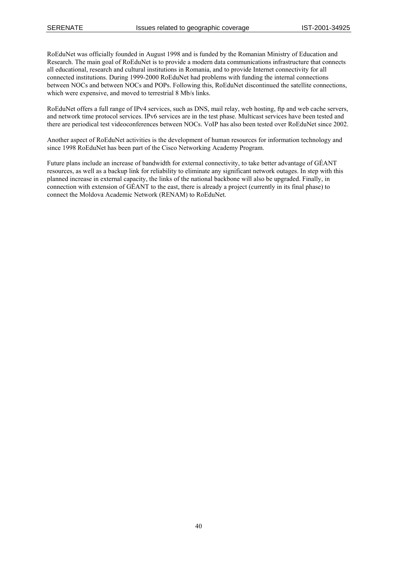RoEduNet was officially founded in August 1998 and is funded by the Romanian Ministry of Education and Research. The main goal of RoEduNet is to provide a modern data communications infrastructure that connects all educational, research and cultural institutions in Romania, and to provide Internet connectivity for all connected institutions. During 1999-2000 RoEduNet had problems with funding the internal connections between NOCs and between NOCs and POPs. Following this, RoEduNet discontinued the satellite connections, which were expensive, and moved to terrestrial 8 Mb/s links.

RoEduNet offers a full range of IPv4 services, such as DNS, mail relay, web hosting, ftp and web cache servers, and network time protocol services. IPv6 services are in the test phase. Multicast services have been tested and there are periodical test videoconferences between NOCs. VoIP has also been tested over RoEduNet since 2002.

Another aspect of RoEduNet activities is the development of human resources for information technology and since 1998 RoEduNet has been part of the Cisco Networking Academy Program.

Future plans include an increase of bandwidth for external connectivity, to take better advantage of GÉANT resources, as well as a backup link for reliability to eliminate any significant network outages. In step with this planned increase in external capacity, the links of the national backbone will also be upgraded. Finally, in connection with extension of GÉANT to the east, there is already a project (currently in its final phase) to connect the Moldova Academic Network (RENAM) to RoEduNet.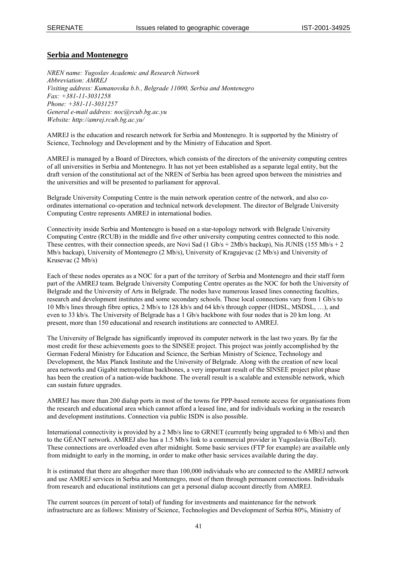#### **Serbia and Montenegro**

*NREN name: Yugoslav Academic and Research Network Abbreviation: AMREJ Visiting address: Kumanovska b.b., Belgrade 11000, Serbia and Montenegro Fax: +381-11-3031258 Phone: +381-11-3031257 General e-mail address: noc@rcub.bg.ac.yu Website: http://amrej.rcub.bg.ac.yu/* 

AMREJ is the education and research network for Serbia and Montenegro. It is supported by the Ministry of Science, Technology and Development and by the Ministry of Education and Sport.

AMREJ is managed by a Board of Directors, which consists of the directors of the university computing centres of all universities in Serbia and Montenegro. It has not yet been established as a separate legal entity, but the draft version of the constitutional act of the NREN of Serbia has been agreed upon between the ministries and the universities and will be presented to parliament for approval.

Belgrade University Computing Centre is the main network operation centre of the network, and also coordinates international co-operation and technical network development. The director of Belgrade University Computing Centre represents AMREJ in international bodies.

Connectivity inside Serbia and Montenegro is based on a star-topology network with Belgrade University Computing Centre (RCUB) in the middle and five other university computing centres connected to this node. These centres, with their connection speeds, are Novi Sad (1 Gb/s + 2Mb/s backup), Nis JUNIS (155 Mb/s + 2 Mb/s backup), University of Montenegro (2 Mb/s), University of Kragujevac (2 Mb/s) and University of Krusevac (2 Mb/s)

Each of these nodes operates as a NOC for a part of the territory of Serbia and Montenegro and their staff form part of the AMREJ team. Belgrade University Computing Centre operates as the NOC for both the University of Belgrade and the University of Arts in Belgrade. The nodes have numerous leased lines connecting faculties, research and development institutes and some secondary schools. These local connections vary from 1 Gb/s to 10 Mb/s lines through fibre optics, 2 Mb/s to 128 kb/s and 64 kb/s through copper (HDSL, MSDSL, …), and even to 33 kb/s. The University of Belgrade has a 1 Gb/s backbone with four nodes that is 20 km long. At present, more than 150 educational and research institutions are connected to AMREJ.

The University of Belgrade has significantly improved its computer network in the last two years. By far the most credit for these achievements goes to the SINSEE project. This project was jointly accomplished by the German Federal Ministry for Education and Science, the Serbian Ministry of Science, Technology and Development, the Max Planck Institute and the University of Belgrade. Along with the creation of new local area networks and Gigabit metropolitan backbones, a very important result of the SINSEE project pilot phase has been the creation of a nation-wide backbone. The overall result is a scalable and extensible network, which can sustain future upgrades.

AMREJ has more than 200 dialup ports in most of the towns for PPP-based remote access for organisations from the research and educational area which cannot afford a leased line, and for individuals working in the research and development institutions. Connection via public ISDN is also possible.

International connectivity is provided by a 2 Mb/s line to GRNET (currently being upgraded to 6 Mb/s) and then to the GÉANT network. AMREJ also has a 1.5 Mb/s link to a commercial provider in Yugoslavia (BeoTel). These connections are overloaded even after midnight. Some basic services (FTP for example) are available only from midnight to early in the morning, in order to make other basic services available during the day.

It is estimated that there are altogether more than 100,000 individuals who are connected to the AMREJ network and use AMREJ services in Serbia and Montenegro, most of them through permanent connections. Individuals from research and educational institutions can get a personal dialup account directly from AMREJ.

The current sources (in percent of total) of funding for investments and maintenance for the network infrastructure are as follows: Ministry of Science, Technologies and Development of Serbia 80%, Ministry of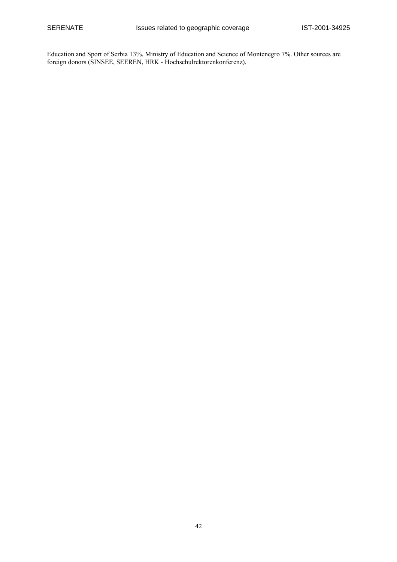Education and Sport of Serbia 13%, Ministry of Education and Science of Montenegro 7%. Other sources are foreign donors (SINSEE, SEEREN, HRK - Hochschulrektorenkonferenz).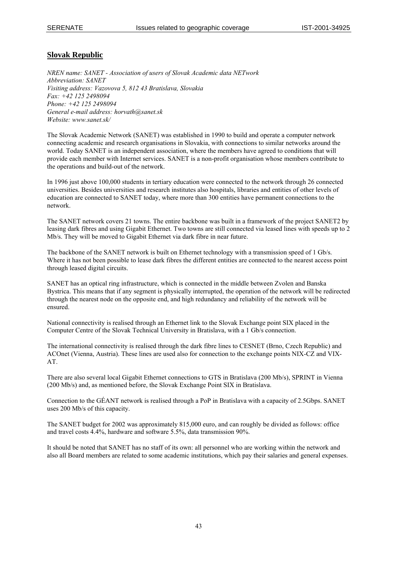## **Slovak Republic**

*NREN name: SANET - Association of users of Slovak Academic data NETwork Abbreviation: SANET Visiting address: Vazovova 5, 812 43 Bratislava, Slovakia Fax: +42 125 2498094 Phone: +42 125 2498094 General e-mail address: horvath@sanet.sk Website: www.sanet.sk/* 

The Slovak Academic Network (SANET) was established in 1990 to build and operate a computer network connecting academic and research organisations in Slovakia, with connections to similar networks around the world. Today SANET is an independent association, where the members have agreed to conditions that will provide each member with Internet services. SANET is a non-profit organisation whose members contribute to the operations and build-out of the network.

In 1996 just above 100,000 students in tertiary education were connected to the network through 26 connected universities. Besides universities and research institutes also hospitals, libraries and entities of other levels of education are connected to SANET today, where more than 300 entities have permanent connections to the network.

The SANET network covers 21 towns. The entire backbone was built in a framework of the project SANET2 by leasing dark fibres and using Gigabit Ethernet. Two towns are still connected via leased lines with speeds up to 2 Mb/s. They will be moved to Gigabit Ethernet via dark fibre in near future.

The backbone of the SANET network is built on Ethernet technology with a transmission speed of 1 Gb/s. Where it has not been possible to lease dark fibres the different entities are connected to the nearest access point through leased digital circuits.

SANET has an optical ring infrastructure, which is connected in the middle between Zvolen and Banska Bystrica. This means that if any segment is physically interrupted, the operation of the network will be redirected through the nearest node on the opposite end, and high redundancy and reliability of the network will be ensured.

National connectivity is realised through an Ethernet link to the Slovak Exchange point SIX placed in the Computer Centre of the Slovak Technical University in Bratislava, with a 1 Gb/s connection.

The international connectivity is realised through the dark fibre lines to CESNET (Brno, Czech Republic) and ACOnet (Vienna, Austria). These lines are used also for connection to the exchange points NIX-CZ and VIX-AT.

There are also several local Gigabit Ethernet connections to GTS in Bratislava (200 Mb/s), SPRINT in Vienna (200 Mb/s) and, as mentioned before, the Slovak Exchange Point SIX in Bratislava.

Connection to the GÉANT network is realised through a PoP in Bratislava with a capacity of 2.5Gbps. SANET uses 200 Mb/s of this capacity.

The SANET budget for 2002 was approximately 815,000 euro, and can roughly be divided as follows: office and travel costs 4.4%, hardware and software 5.5%, data transmission 90%.

It should be noted that SANET has no staff of its own: all personnel who are working within the network and also all Board members are related to some academic institutions, which pay their salaries and general expenses.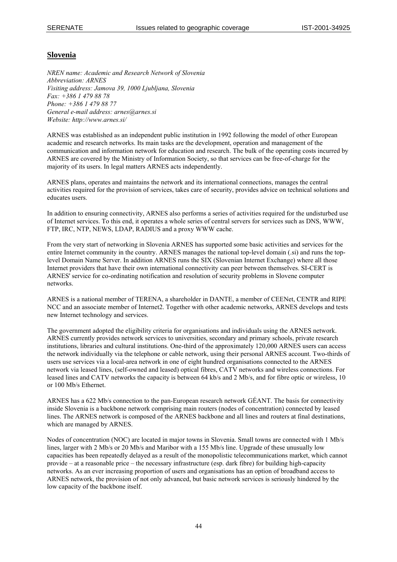#### **Slovenia**

*NREN name: Academic and Research Network of Slovenia Abbreviation: ARNES Visiting address: Jamova 39, 1000 Ljubljana, Slovenia Fax: +386 1 479 88 78 Phone: +386 1 479 88 77 General e-mail address: arnes@arnes.si Website: http://www.arnes.si/* 

ARNES was established as an independent public institution in 1992 following the model of other European academic and research networks. Its main tasks are the development, operation and management of the communication and information network for education and research. The bulk of the operating costs incurred by ARNES are covered by the Ministry of Information Society, so that services can be free-of-charge for the majority of its users. In legal matters ARNES acts independently.

ARNES plans, operates and maintains the network and its international connections, manages the central activities required for the provision of services, takes care of security, provides advice on technical solutions and educates users.

In addition to ensuring connectivity, ARNES also performs a series of activities required for the undisturbed use of Internet services. To this end, it operates a whole series of central servers for services such as DNS, WWW, FTP, IRC, NTP, NEWS, LDAP, RADIUS and a proxy WWW cache.

From the very start of networking in Slovenia ARNES has supported some basic activities and services for the entire Internet community in the country. ARNES manages the national top-level domain (.si) and runs the toplevel Domain Name Server. In addition ARNES runs the SIX (Slovenian Internet Exchange) where all those Internet providers that have their own international connectivity can peer between themselves. SI-CERT is ARNES' service for co-ordinating notification and resolution of security problems in Slovene computer networks.

ARNES is a national member of TERENA, a shareholder in DANTE, a member of [CEENet,](http://www.ceenet.org/) CENTR and RIPE NCC and an associate member of Internet2. Together with other academic networks, ARNES develops and tests new Internet technology and services.

The government adopted the eligibility criteria for organisations and individuals using the ARNES network. ARNES currently provides network services to universities, secondary and primary schools, private research institutions, libraries and cultural institutions. One-third of the approximately 120,000 ARNES users can access the network individually via the telephone or cable network, using their personal ARNES account. Two-thirds of users use services via a local-area network in one of eight hundred organisations connected to the ARNES network via leased lines, (self-owned and leased) optical fibres, CATV networks and wireless connections. For leased lines and CATV networks the capacity is between 64 kb/s and 2 Mb/s, and for fibre optic or wireless, 10 or 100 Mb/s Ethernet.

ARNES has a 622 Mb/s connection to the pan-European research network GÉANT. The basis for connectivity inside Slovenia is a backbone network comprising main routers (nodes of concentration) connected by leased lines. The ARNES network is composed of the ARNES backbone and all lines and routers at final destinations, which are managed by ARNES.

Nodes of concentration (NOC) are located in major towns in Slovenia. Small towns are connected with 1 Mb/s lines, larger with 2 Mb/s or 20 Mb/s and Maribor with a 155 Mb/s line. Upgrade of these unusually low capacities has been repeatedly delayed as a result of the monopolistic telecommunications market, which cannot provide – at a reasonable price – the necessary infrastructure (esp. dark fibre) for building high-capacity networks. As an ever increasing proportion of users and organisations has an option of broadband access to ARNES network, the provision of not only advanced, but basic network services is seriously hindered by the low capacity of the backbone itself.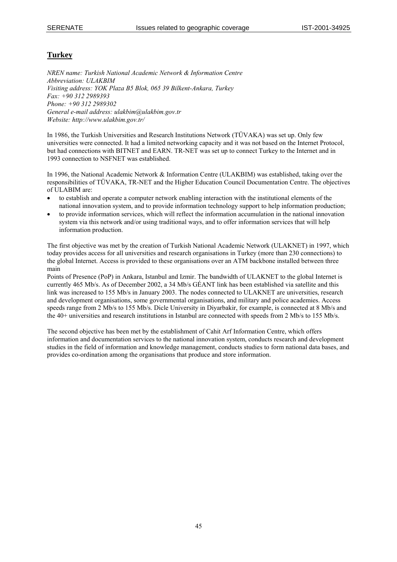## **Turkey**

*NREN name: Turkish National Academic Network & Information Centre Abbreviation: ULAKBIM Visiting address: YOK Plaza B5 Blok, 065 39 Bilkent-Ankara, Turkey Fax: +90 312 2989393 Phone: +90 312 2989302 General e-mail address: ulakbim@ulakbim.gov.tr Website: http://www.ulakbim.gov.tr/* 

In 1986, the Turkish Universities and Research Institutions Network (TÜVAKA) was set up. Only few universities were connected. It had a limited networking capacity and it was not based on the Internet Protocol, but had connections with BITNET and EARN. TR-NET was set up to connect Turkey to the Internet and in 1993 connection to NSFNET was established.

In 1996, the National Academic Network & Information Centre (ULAKBIM) was established, taking over the responsibilities of TÜVAKA, TR-NET and the Higher Education Council Documentation Centre. The objectives of ULABIM are:

- to establish and operate a computer network enabling interaction with the institutional elements of the national innovation system, and to provide information technology support to help information production;
- to provide information services, which will reflect the information accumulation in the national innovation system via this network and/or using traditional ways, and to offer information services that will help information production.

The first objective was met by the creation of Turkish National Academic Network (ULAKNET) in 1997, which today provides access for all universities and research organisations in Turkey (more than 230 connections) to the global Internet. Access is provided to these organisations over an ATM backbone installed between three main

Points of Presence (PoP) in Ankara, Istanbul and Izmir. The bandwidth of ULAKNET to the global Internet is currently 465 Mb/s. As of December 2002, a 34 Mb/s GÉANT link has been established via satellite and this link was increased to 155 Mb/s in January 2003. The nodes connected to ULAKNET are universities, research and development organisations, some governmental organisations, and military and police academies. Access speeds range from 2 Mb/s to 155 Mb/s. Dicle University in Diyarbakir, for example, is connected at 8 Mb/s and the 40+ universities and research institutions in Istanbul are connected with speeds from 2 Mb/s to 155 Mb/s.

The second objective has been met by the establishment of Cahit Arf Information Centre, which offers information and documentation services to the national innovation system, conducts research and development studies in the field of information and knowledge management, conducts studies to form national data bases, and provides co-ordination among the organisations that produce and store information.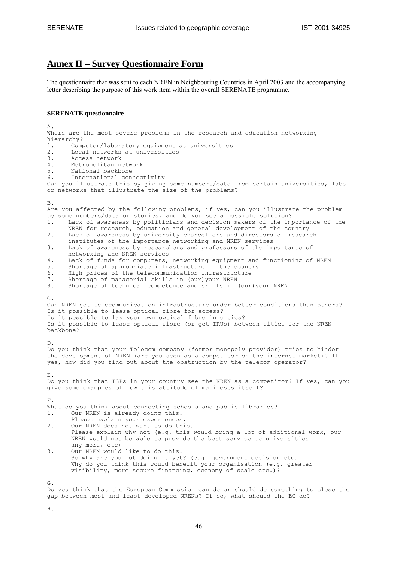## **Annex II – Survey Questionnaire Form**

The questionnaire that was sent to each NREN in Neighbouring Countries in April 2003 and the accompanying letter describing the purpose of this work item within the overall SERENATE programme.

#### **SERENATE questionnaire**

 $\Delta$ . Where are the most severe problems in the research and education networking hierarchy?<br>1. Comm 1. Computer/laboratory equipment at universities<br>2 Local networks at universities 2. Local networks at universities<br>3 Access network 3. Access network<br>4. Metropolitan ne 4. Metropolitan network<br>5. National backbone National backbone 6. International connectivity Can you illustrate this by giving some numbers/data from certain universities, labs or networks that illustrate the size of the problems? B. Are you affected by the following problems, if yes, can you illustrate the problem by some numbers/data or stories, and do you see a possible solution?<br>1. Lack of awareness by politicians and decision makers of the imp 1. Lack of awareness by politicians and decision makers of the importance of the NREN for research, education and general development of the country 2. Lack of awareness by university chancellors and directors of research institutes of the importance networking and NREN services 3. Lack of awareness by researchers and professors of the importance of networking and NREN services 4. Lack of funds for computers, networking equipment and functioning of NREN<br>5. Shortage of appropriate infrastructure in the country 5. Shortage of appropriate infrastructure in the country<br>6. High prices of the telecommunication infrastructure 6. High prices of the telecommunication infrastructure<br>7. Shortage of managerial skills in (our) your NREN 7. Shortage of managerial skills in (our)your NREN<br>8. Shortage of technical competence and skills in 8. Shortage of technical competence and skills in (our)your NREN  $C<sub>1</sub>$ Can NREN get telecommunication infrastructure under better conditions than others? Is it possible to lease optical fibre for access? Is it possible to lay your own optical fibre in cities? Is it possible to lease optical fibre (or get IRUs) between cities for the NREN backbone? D. Do you think that your Telecom company (former monopoly provider) tries to hinder the development of NREN (are you seen as a competitor on the internet market)? If yes, how did you find out about the obstruction by the telecom operator? E. Do you think that ISPs in your country see the NREN as a competitor? If yes, can you give some examples of how this attitude of manifests itself? F. What do you think about connecting schools and public libraries? 1. Our NREN is already doing this. Please explain your experiences. 2. Our NREN does not want to do this. Please explain why not (e.g. this would bring a lot of additional work, our NREN would not be able to provide the best service to universities any more, etc) 3. Our NREN would like to do this. So why are you not doing it yet? (e.g. government decision etc) Why do you think this would benefit your organisation (e.g. greater visibility, more secure financing, economy of scale etc.)? G.

Do you think that the European Commission can do or should do something to close the gap between most and least developed NRENs? If so, what should the EC do?

H.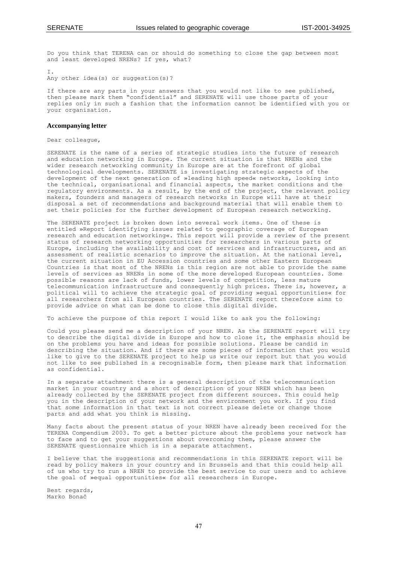Do you think that TERENA can or should do something to close the gap between most and least developed NRENs? If yes, what?

 $T$ . Any other idea(s) or suggestion(s)?

If there are any parts in your answers that you would not like to see published, then please mark them "confidential" and SERENATE will use those parts of your replies only in such a fashion that the information cannot be identified with you or your organisation.

#### **Accompanying letter**

Dear colleague,

SERENATE is the name of a series of strategic studies into the future of research and education networking in Europe. The current situation is that NRENs and the wider research networking community in Europe are at the forefront of global technological developments. SERENATE is investigating strategic aspects of the development of the next generation of »leading high speed« networks, looking into the technical, organisational and financial aspects, the market conditions and the regulatory environments. As a result, by the end of the project, the relevant policy makers, founders and managers of research networks in Europe will have at their disposal a set of recommendations and background material that will enable them to set their policies for the further development of European research networking.

The SERENATE project is broken down into several work items. One of these is entitled »Report identifying issues related to geographic coverage of European research and education networking«. This report will provide a review of the present status of research networking opportunities for researchers in various parts of Europe, including the availability and cost of services and infrastructures, and an assessment of realistic scenarios to improve the situation. At the national level, the current situation in EU Accession countries and some other Eastern European Countries is that most of the NRENs is this region are not able to provide the same levels of services as NRENs in some of the more developed European countries. Some possible reasons are lack of funds, lower levels of competition, less mature telecommunication infrastructure and consequently high prices. There is, however, a political will to achieve the strategic goal of providing »equal opportunities« for all researchers from all European countries. The SERENATE report therefore aims to provide advice on what can be done to close this digital divide.

To achieve the purpose of this report I would like to ask you the following:

Could you please send me a description of your NREN. As the SERENATE report will try to describe the digital divide in Europe and how to close it, the emphasis should be on the problems you have and ideas for possible solutions. Please be candid in describing the situation. And if there are some pieces of information that you would like to give to the SERENATE project to help us write our report but that you would not like to see published in a recognisable form, then please mark that information as confidential.

In a separate attachment there is a general description of the telecommunication market in your country and a short of description of your NREN which has been already collected by the SERENATE project from different sources. This could help you in the description of your network and the environment you work. If you find that some information in that text is not correct please delete or change those parts and add what you think is missing.

Many facts about the present status of your NREN have already been received for the TERENA Compendium 2003. To get a better picture about the problems your network has to face and to get your suggestions about overcoming them, please answer the SERENATE questionnaire which is in a separate attachment.

I believe that the suggestions and recommendations in this SERENATE report will be read by policy makers in your country and in Brussels and that this could help all of us who try to run a NREN to provide the best service to our users and to achieve the goal of »equal opportunities« for all researchers in Europe.

Best regards, Marko Bonač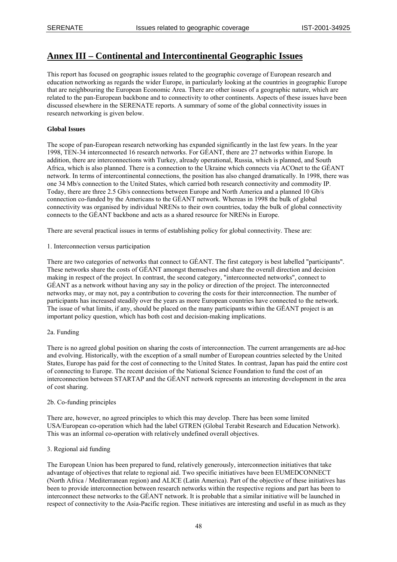## **Annex III – Continental and Intercontinental Geographic Issues**

This report has focused on geographic issues related to the geographic coverage of European research and education networking as regards the wider Europe, in particularly looking at the countries in geographic Europe that are neighbouring the European Economic Area. There are other issues of a geographic nature, which are related to the pan-European backbone and to connectivity to other continents. Aspects of these issues have been discussed elsewhere in the SERENATE reports. A summary of some of the global connectivity issues in research networking is given below.

#### **Global Issues**

The scope of pan-European research networking has expanded significantly in the last few years. In the year 1998, TEN-34 interconnected 16 research networks. For GÉANT, there are 27 networks within Europe. In addition, there are interconnections with Turkey, already operational, Russia, which is planned, and South Africa, which is also planned. There is a connection to the Ukraine which connects via ACOnet to the GÉANT network. In terms of intercontinental connections, the position has also changed dramatically. In 1998, there was one 34 Mb/s connection to the United States, which carried both research connectivity and commodity IP. Today, there are three 2.5 Gb/s connections between Europe and North America and a planned 10 Gb/s connection co-funded by the Americans to the GÉANT network. Whereas in 1998 the bulk of global connectivity was organised by individual NRENs to their own countries, today the bulk of global connectivity connects to the GÉANT backbone and acts as a shared resource for NRENs in Europe.

There are several practical issues in terms of establishing policy for global connectivity. These are:

1. Interconnection versus participation

There are two categories of networks that connect to GÉANT. The first category is best labelled "participants". These networks share the costs of GÉANT amongst themselves and share the overall direction and decision making in respect of the project. In contrast, the second category, "interconnected networks", connect to GÉANT as a network without having any say in the policy or direction of the project. The interconnected networks may, or may not, pay a contribution to covering the costs for their interconnection. The number of participants has increased steadily over the years as more European countries have connected to the network. The issue of what limits, if any, should be placed on the many participants within the GÉANT project is an important policy question, which has both cost and decision-making implications.

#### 2a. Funding

There is no agreed global position on sharing the costs of interconnection. The current arrangements are ad-hoc and evolving. Historically, with the exception of a small number of European countries selected by the United States, Europe has paid for the cost of connecting to the United States. In contrast, Japan has paid the entire cost of connecting to Europe. The recent decision of the National Science Foundation to fund the cost of an interconnection between STARTAP and the GÉANT network represents an interesting development in the area of cost sharing.

#### 2b. Co-funding principles

There are, however, no agreed principles to which this may develop. There has been some limited USA/European co-operation which had the label GTREN (Global Terabit Research and Education Network). This was an informal co-operation with relatively undefined overall objectives.

#### 3. Regional aid funding

The European Union has been prepared to fund, relatively generously, interconnection initiatives that take advantage of objectives that relate to regional aid. Two specific initiatives have been EUMEDCONNECT (North Africa / Mediterranean region) and ALICE (Latin America). Part of the objective of these initiatives has been to provide interconnection between research networks within the respective regions and part has been to interconnect these networks to the GÉANT network. It is probable that a similar initiative will be launched in respect of connectivity to the Asia-Pacific region. These initiatives are interesting and useful in as much as they